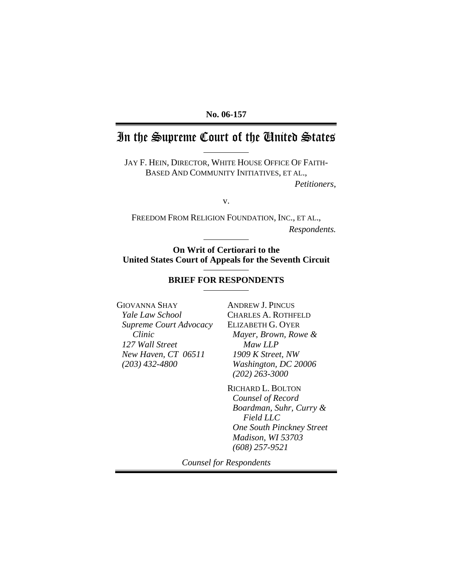#### **No. 06-157**

# In the Supreme Court of the United States

JAY F. HEIN, DIRECTOR, WHITE HOUSE OFFICE OF FAITH-BASED AND COMMUNITY INITIATIVES, ET AL., *Petitioners*,

v.

FREEDOM FROM RELIGION FOUNDATION, INC., ET AL., *Respondents.* 

**On Writ of Certiorari to the United States Court of Appeals for the Seventh Circuit** 

#### **BRIEF FOR RESPONDENTS**

GIOVANNA SHAY *Yale Law School Supreme Court Advocacy Clinic 127 Wall Street New Haven, CT 06511 (203) 432-4800*

ANDREW J. PINCUS CHARLES A. ROTHFELD ELIZABETH G. OYER *Mayer, Brown, Rowe & Maw LLP 1909 K Street, NW Washington, DC 20006 (202) 263-3000* 

RICHARD L. BOLTON *Counsel of Record Boardman, Suhr, Curry & Field LLC One South Pinckney Street Madison, WI 53703 (608) 257-9521* 

*Counsel for Respondents*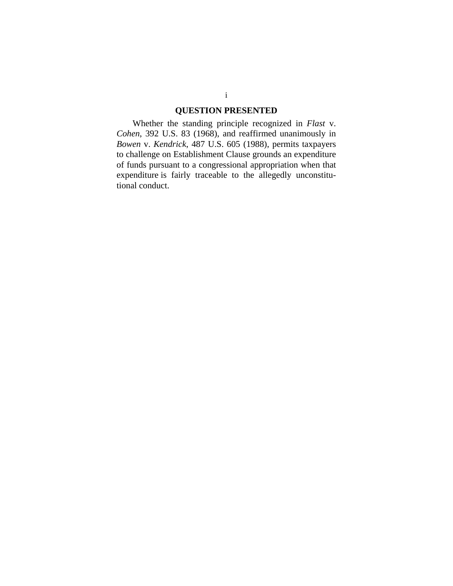## **QUESTION PRESENTED**

<span id="page-1-0"></span>Whether the standing principle recognized in *Flast* v. *Cohen*, 392 U.S. 83 (1968), and reaffirmed unanimously in *Bowen* v. *Kendrick*, 487 U.S. 605 (1988), permits taxpayers to challenge on Establishment Clause grounds an expenditure of funds pursuant to a congressional appropriation when that expenditure is fairly traceable to the allegedly unconstitutional conduct.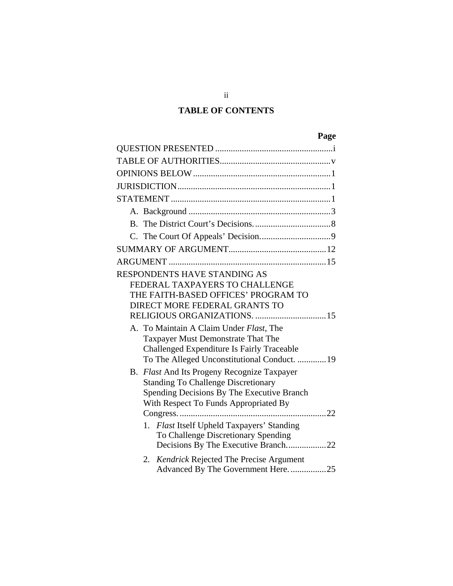# **TABLE OF CONTENTS**

| Page                                         |
|----------------------------------------------|
|                                              |
|                                              |
|                                              |
|                                              |
|                                              |
|                                              |
| R.                                           |
|                                              |
|                                              |
|                                              |
| RESPONDENTS HAVE STANDING AS                 |
| FEDERAL TAXPAYERS TO CHALLENGE               |
| THE FAITH-BASED OFFICES' PROGRAM TO          |
| DIRECT MORE FEDERAL GRANTS TO                |
|                                              |
| A. To Maintain A Claim Under Flast, The      |
| Taxpayer Must Demonstrate That The           |
| Challenged Expenditure Is Fairly Traceable   |
| To The Alleged Unconstitutional Conduct.  19 |
| B. Flast And Its Progeny Recognize Taxpayer  |
| <b>Standing To Challenge Discretionary</b>   |
| Spending Decisions By The Executive Branch   |
| With Respect To Funds Appropriated By        |
|                                              |
| 1. Flast Itself Upheld Taxpayers' Standing   |
| To Challenge Discretionary Spending          |
| Decisions By The Executive Branch22          |
| 2. Kendrick Rejected The Precise Argument    |
| Advanced By The Government Here25            |

ii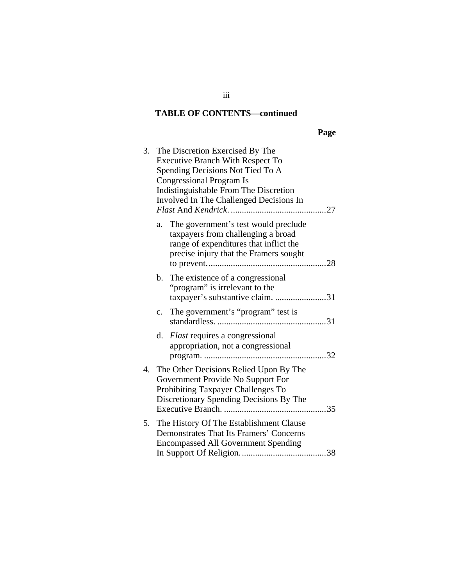# **TABLE OF CONTENTS—continued**

| 3. |    | The Discretion Exercised By The<br><b>Executive Branch With Respect To</b><br>Spending Decisions Not Tied To A<br><b>Congressional Program Is</b><br>Indistinguishable From The Discretion<br>Involved In The Challenged Decisions In |
|----|----|---------------------------------------------------------------------------------------------------------------------------------------------------------------------------------------------------------------------------------------|
|    | a. | The government's test would preclude<br>taxpayers from challenging a broad<br>range of expenditures that inflict the<br>precise injury that the Framers sought                                                                        |
|    | b. | The existence of a congressional<br>"program" is irrelevant to the<br>taxpayer's substantive claim. 31                                                                                                                                |
|    | c. | The government's "program" test is                                                                                                                                                                                                    |
|    | d. | <i>Flast</i> requires a congressional<br>appropriation, not a congressional                                                                                                                                                           |
| 4. |    | The Other Decisions Relied Upon By The<br>Government Provide No Support For<br>Prohibiting Taxpayer Challenges To<br>Discretionary Spending Decisions By The                                                                          |
| 5. |    | The History Of The Establishment Clause<br><b>Demonstrates That Its Framers' Concerns</b><br><b>Encompassed All Government Spending</b>                                                                                               |

iii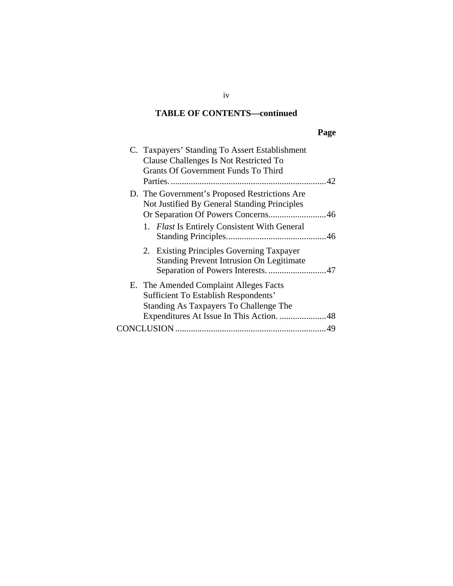# **TABLE OF CONTENTS—continued**

| C. Taxpayers' Standing To Assert Establishment<br>Clause Challenges Is Not Restricted To     |
|----------------------------------------------------------------------------------------------|
| <b>Grants Of Government Funds To Third</b>                                                   |
|                                                                                              |
| D. The Government's Proposed Restrictions Are                                                |
| Not Justified By General Standing Principles                                                 |
| Or Separation Of Powers Concerns46                                                           |
| 1. Flast Is Entirely Consistent With General                                                 |
|                                                                                              |
| 2. Existing Principles Governing Taxpayer<br><b>Standing Prevent Intrusion On Legitimate</b> |
|                                                                                              |
| E. The Amended Complaint Alleges Facts                                                       |
| <b>Sufficient To Establish Respondents'</b>                                                  |
| Standing As Taxpayers To Challenge The                                                       |
| Expenditures At Issue In This Action.  48                                                    |
|                                                                                              |
|                                                                                              |

iv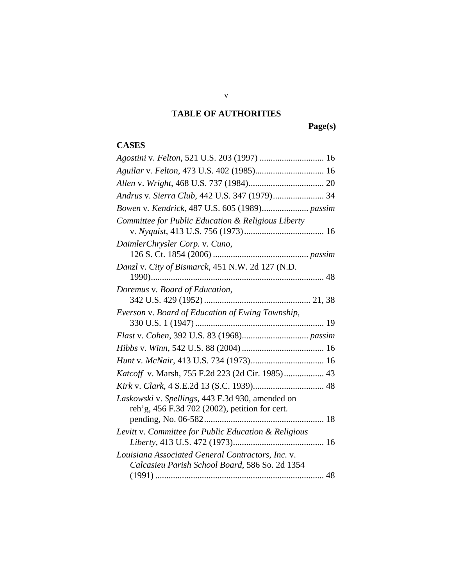# **TABLE OF AUTHORITIES**

**Page(s)** 

# <span id="page-5-0"></span>**CASES**

| Agostini v. Felton, 521 U.S. 203 (1997)  16                                                        |
|----------------------------------------------------------------------------------------------------|
| Aguilar v. Felton, 473 U.S. 402 (1985) 16                                                          |
|                                                                                                    |
| Andrus v. Sierra Club, 442 U.S. 347 (1979) 34                                                      |
| Bowen v. Kendrick, 487 U.S. 605 (1989) passim                                                      |
| Committee for Public Education & Religious Liberty                                                 |
| DaimlerChrysler Corp. v. Cuno,                                                                     |
|                                                                                                    |
| Danzl v. City of Bismarck, 451 N.W. 2d 127 (N.D.                                                   |
|                                                                                                    |
| Doremus v. Board of Education,                                                                     |
|                                                                                                    |
| Everson v. Board of Education of Ewing Township,                                                   |
|                                                                                                    |
|                                                                                                    |
|                                                                                                    |
|                                                                                                    |
|                                                                                                    |
| Katcoff v. Marsh, 755 F.2d 223 (2d Cir. 1985) 43                                                   |
|                                                                                                    |
| Laskowski v. Spellings, 443 F.3d 930, amended on<br>reh'g, 456 F.3d 702 (2002), petition for cert. |
|                                                                                                    |
| Levitt v. Committee for Public Education & Religious                                               |
| Louisiana Associated General Contractors, Inc. v.                                                  |
| Calcasieu Parish School Board, 586 So. 2d 1354                                                     |

v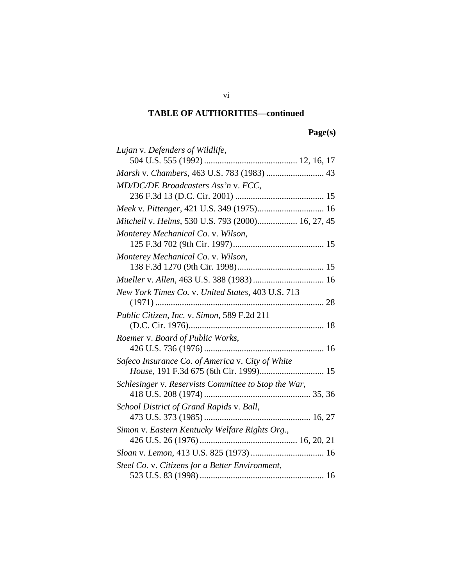| Lujan v. Defenders of Wildlife,                      |
|------------------------------------------------------|
|                                                      |
| Marsh v. Chambers, 463 U.S. 783 (1983)  43           |
| MD/DC/DE Broadcasters Ass'n v. FCC,                  |
| Meek v. Pittenger, 421 U.S. 349 (1975) 16            |
| Mitchell v. Helms, 530 U.S. 793 (2000) 16, 27, 45    |
| Monterey Mechanical Co. v. Wilson,                   |
| Monterey Mechanical Co. v. Wilson,                   |
| Mueller v. Allen, 463 U.S. 388 (1983)  16            |
| New York Times Co. v. United States, 403 U.S. 713    |
| Public Citizen, Inc. v. Simon, 589 F.2d 211          |
| Roemer v. Board of Public Works,                     |
| Safeco Insurance Co. of America v. City of White     |
| Schlesinger v. Reservists Committee to Stop the War, |
| School District of Grand Rapids v. Ball,             |
| Simon v. Eastern Kentucky Welfare Rights Org.,       |
|                                                      |
| Steel Co. v. Citizens for a Better Environment,      |

vi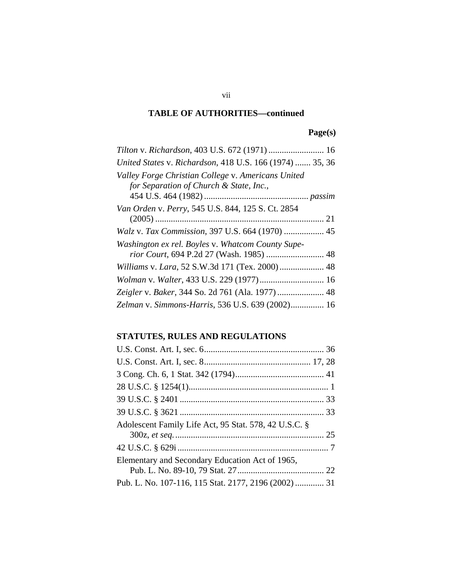**Page(s)**

| Tilton v. Richardson, 403 U.S. 672 (1971)  16            |
|----------------------------------------------------------|
| United States v. Richardson, 418 U.S. 166 (1974)  35, 36 |
| Valley Forge Christian College v. Americans United       |
| for Separation of Church & State, Inc.,                  |
|                                                          |
| Van Orden v. Perry, 545 U.S. 844, 125 S. Ct. 2854        |
|                                                          |
| Walz v. Tax Commission, 397 U.S. 664 (1970)  45          |
| Washington ex rel. Boyles v. Whatcom County Supe-        |
| rior Court, 694 P.2d 27 (Wash. 1985)  48                 |
| Williams v. Lara, 52 S.W.3d 171 (Tex. 2000)  48          |
|                                                          |
| Zeigler v. Baker, 344 So. 2d 761 (Ala. 1977)  48         |
| Zelman v. Simmons-Harris, 536 U.S. 639 (2002) 16         |

# **STATUTES, RULES AND REGULATIONS**

| Adolescent Family Life Act, 95 Stat. 578, 42 U.S.C. § |  |
|-------------------------------------------------------|--|
|                                                       |  |
|                                                       |  |
| Elementary and Secondary Education Act of 1965,       |  |
|                                                       |  |
| Pub. L. No. 107-116, 115 Stat. 2177, 2196 (2002)  31  |  |

vii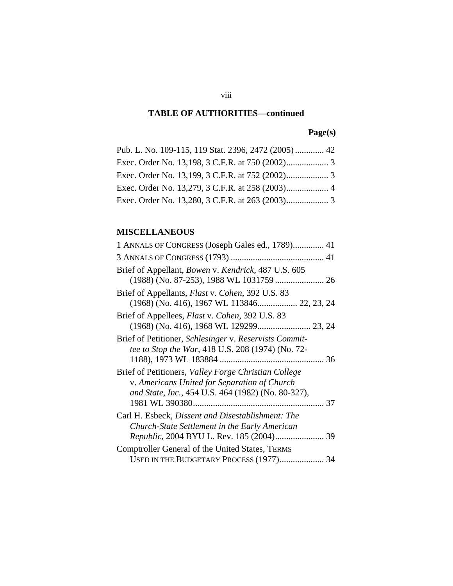# **Page(s)**

| Pub. L. No. 109-115, 119 Stat. 2396, 2472 (2005)  42 |  |
|------------------------------------------------------|--|
|                                                      |  |
|                                                      |  |
|                                                      |  |
|                                                      |  |

# **MISCELLANEOUS**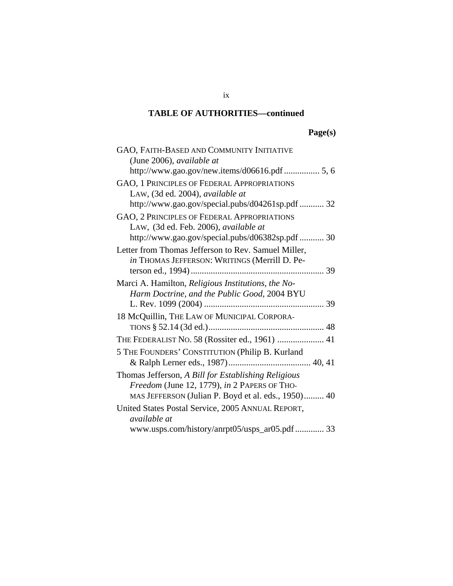| <b>Del</b><br>S.<br>.я |
|------------------------|
|------------------------|

| GAO, FAITH-BASED AND COMMUNITY INITIATIVE<br>(June 2006), available at                                                                                     |
|------------------------------------------------------------------------------------------------------------------------------------------------------------|
| http://www.gao.gov/new.items/d06616.pdf  5, 6                                                                                                              |
| GAO, 1 PRINCIPLES OF FEDERAL APPROPRIATIONS<br>LAW, (3d ed. 2004), available at                                                                            |
| http://www.gao.gov/special.pubs/d04261sp.pdf  32                                                                                                           |
| GAO, 2 PRINCIPLES OF FEDERAL APPROPRIATIONS<br>LAW, (3d ed. Feb. 2006), available at<br>http://www.gao.gov/special.pubs/d06382sp.pdf  30                   |
| Letter from Thomas Jefferson to Rev. Samuel Miller,<br>in THOMAS JEFFERSON: WRITINGS (Merrill D. Pe-                                                       |
| Marci A. Hamilton, Religious Institutions, the No-<br>Harm Doctrine, and the Public Good, 2004 BYU                                                         |
| 18 McQuillin, THE LAW OF MUNICIPAL CORPORA-                                                                                                                |
| THE FEDERALIST NO. 58 (Rossiter ed., 1961)  41                                                                                                             |
| 5 THE FOUNDERS' CONSTITUTION (Philip B. Kurland                                                                                                            |
| Thomas Jefferson, A Bill for Establishing Religious<br>Freedom (June 12, 1779), in 2 PAPERS OF THO-<br>MAS JEFFERSON (Julian P. Boyd et al. eds., 1950) 40 |
| United States Postal Service, 2005 ANNUAL REPORT,<br>available at                                                                                          |
| www.usps.com/history/anrpt05/usps_ar05.pdf  33                                                                                                             |

ix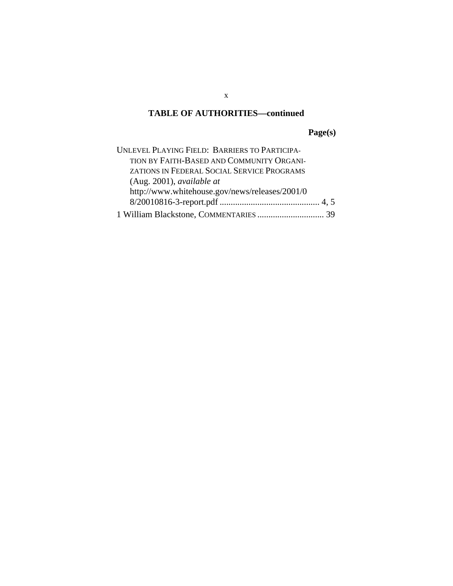**Page(s)**

| UNLEVEL PLAYING FIELD: BARRIERS TO PARTICIPA-  |  |
|------------------------------------------------|--|
| TION BY FAITH-BASED AND COMMUNITY ORGANI-      |  |
| ZATIONS IN FEDERAL SOCIAL SERVICE PROGRAMS     |  |
| (Aug. 2001), available at                      |  |
| http://www.whitehouse.gov/news/releases/2001/0 |  |
|                                                |  |
|                                                |  |

x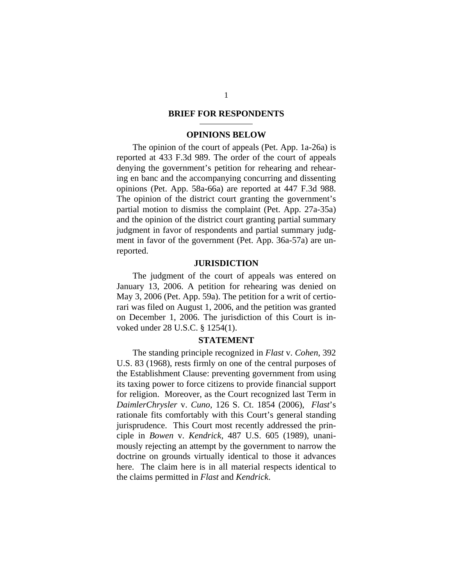#### **BRIEF FOR RESPONDENTS**

#### **OPINIONS BELOW**

<span id="page-11-0"></span>The opinion of the court of appeals (Pet. App. 1a-26a) is reported at 433 F.3d 989. The order of the court of appeals denying the government's petition for rehearing and rehearing en banc and the accompanying concurring and dissenting opinions (Pet. App. 58a-66a) are reported at 447 F.3d 988. The opinion of the district court granting the government's partial motion to dismiss the complaint (Pet. App. 27a-35a) and the opinion of the district court granting partial summary judgment in favor of respondents and partial summary judgment in favor of the government (Pet. App. 36a-57a) are unreported.

#### **JURISDICTION**

The judgment of the court of appeals was entered on January 13, 2006. A petition for rehearing was denied on May 3, 2006 (Pet. App. 59a). The petition for a writ of certiorari was filed on August 1, 2006, and the petition was granted on December 1, 2006. The jurisdiction of this Court is invoked under 28 U.S.C. § 1254(1).

#### **STATEMENT**

The standing principle recognized in *Flast* v. *Cohen*, 392 U.S. 83 (1968), rests firmly on one of the central purposes of the Establishment Clause: preventing government from using its taxing power to force citizens to provide financial support for religion. Moreover, as the Court recognized last Term in *DaimlerChrysler* v. *Cuno*, 126 S. Ct. 1854 (2006), *Flast*'s rationale fits comfortably with this Court's general standing jurisprudence. This Court most recently addressed the principle in *Bowen* v. *Kendrick*, 487 U.S. 605 (1989), unanimously rejecting an attempt by the government to narrow the doctrine on grounds virtually identical to those it advances here. The claim here is in all material respects identical to the claims permitted in *Flast* and *Kendrick*.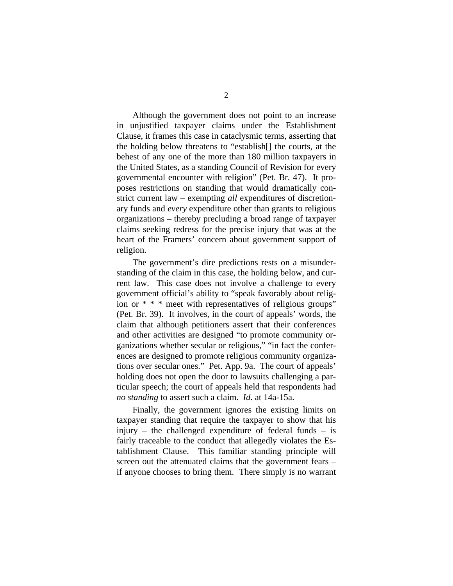Although the government does not point to an increase in unjustified taxpayer claims under the Establishment Clause, it frames this case in cataclysmic terms, asserting that the holding below threatens to "establish[] the courts, at the behest of any one of the more than 180 million taxpayers in the United States, as a standing Council of Revision for every governmental encounter with religion" (Pet. Br. 47). It proposes restrictions on standing that would dramatically constrict current law – exempting *all* expenditures of discretionary funds and *every* expenditure other than grants to religious organizations – thereby precluding a broad range of taxpayer claims seeking redress for the precise injury that was at the heart of the Framers' concern about government support of religion.

The government's dire predictions rests on a misunderstanding of the claim in this case, the holding below, and current law. This case does not involve a challenge to every government official's ability to "speak favorably about religion or \* \* \* meet with representatives of religious groups" (Pet. Br. 39). It involves, in the court of appeals' words, the claim that although petitioners assert that their conferences and other activities are designed "to promote community organizations whether secular or religious," "in fact the conferences are designed to promote religious community organizations over secular ones." Pet. App. 9a. The court of appeals' holding does not open the door to lawsuits challenging a particular speech; the court of appeals held that respondents had *no standing* to assert such a claim. *Id*. at 14a-15a.

Finally, the government ignores the existing limits on taxpayer standing that require the taxpayer to show that his injury – the challenged expenditure of federal funds – is fairly traceable to the conduct that allegedly violates the Establishment Clause. This familiar standing principle will screen out the attenuated claims that the government fears – if anyone chooses to bring them. There simply is no warrant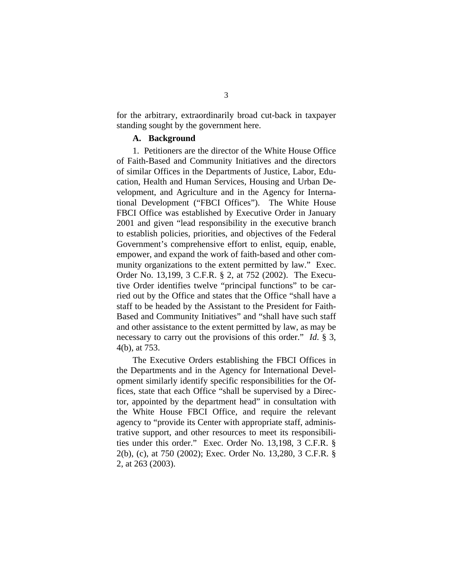<span id="page-13-0"></span>for the arbitrary, extraordinarily broad cut-back in taxpayer standing sought by the government here.

#### **A. Background**

1. Petitioners are the director of the White House Office of Faith-Based and Community Initiatives and the directors of similar Offices in the Departments of Justice, Labor, Education, Health and Human Services, Housing and Urban Development, and Agriculture and in the Agency for International Development ("FBCI Offices"). The White House FBCI Office was established by Executive Order in January 2001 and given "lead responsibility in the executive branch to establish policies, priorities, and objectives of the Federal Government's comprehensive effort to enlist, equip, enable, empower, and expand the work of faith-based and other community organizations to the extent permitted by law." Exec. Order No. 13,199, 3 C.F.R. § 2, at 752 (2002). The Executive Order identifies twelve "principal functions" to be carried out by the Office and states that the Office "shall have a staff to be headed by the Assistant to the President for Faith-Based and Community Initiatives" and "shall have such staff and other assistance to the extent permitted by law, as may be necessary to carry out the provisions of this order." *Id*. § 3, 4(b), at 753.

The Executive Orders establishing the FBCI Offices in the Departments and in the Agency for International Development similarly identify specific responsibilities for the Offices, state that each Office "shall be supervised by a Director, appointed by the department head" in consultation with the White House FBCI Office, and require the relevant agency to "provide its Center with appropriate staff, administrative support, and other resources to meet its responsibilities under this order." Exec. Order No. 13,198, 3 C.F.R. § 2(b), (c), at 750 (2002); Exec. Order No. 13,280, 3 C.F.R. § 2, at 263 (2003).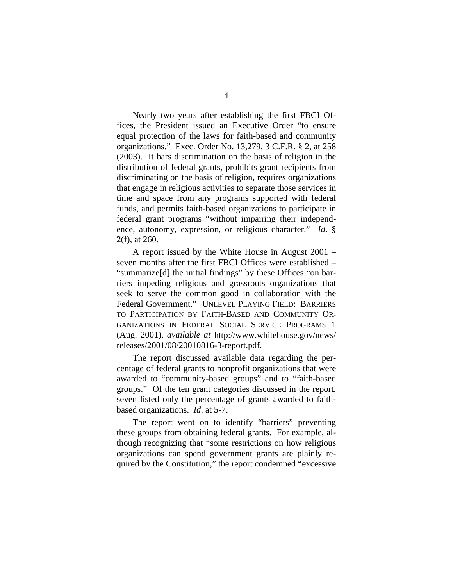Nearly two years after establishing the first FBCI Offices, the President issued an Executive Order "to ensure equal protection of the laws for faith-based and community organizations." Exec. Order No. 13,279, 3 C.F.R. § 2, at 258 (2003). It bars discrimination on the basis of religion in the distribution of federal grants, prohibits grant recipients from discriminating on the basis of religion, requires organizations that engage in religious activities to separate those services in time and space from any programs supported with federal funds, and permits faith-based organizations to participate in federal grant programs "without impairing their independence, autonomy, expression, or religious character." *Id*. § 2(f), at 260.

A report issued by the White House in August 2001 – seven months after the first FBCI Offices were established – "summarize[d] the initial findings" by these Offices "on barriers impeding religious and grassroots organizations that seek to serve the common good in collaboration with the Federal Government." UNLEVEL PLAYING FIELD: BARRIERS TO PARTICIPATION BY FAITH-BASED AND COMMUNITY OR-GANIZATIONS IN FEDERAL SOCIAL SERVICE PROGRAMS 1 (Aug. 2001), *available at* [http://www.whitehouse.gov/news/](http://www.whitehouse.gov/news/releases/2001/08/20010816-3-report.pdf) [releases/2001/08/20010816-3-report.pdf](http://www.whitehouse.gov/news/releases/2001/08/20010816-3-report.pdf).

The report discussed available data regarding the percentage of federal grants to nonprofit organizations that were awarded to "community-based groups" and to "faith-based groups." Of the ten grant categories discussed in the report, seven listed only the percentage of grants awarded to faithbased organizations. *Id*. at 5-7.

The report went on to identify "barriers" preventing these groups from obtaining federal grants. For example, although recognizing that "some restrictions on how religious organizations can spend government grants are plainly required by the Constitution," the report condemned "excessive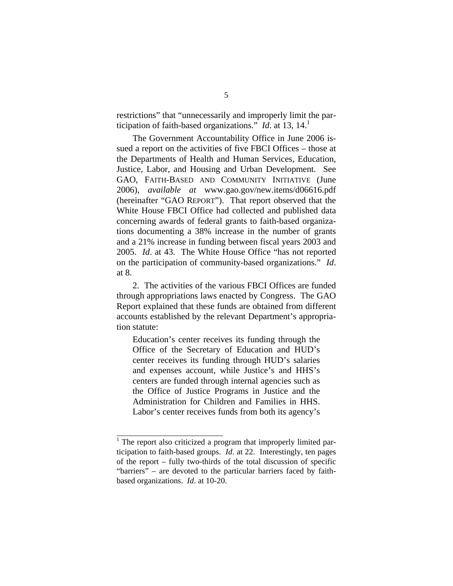restrictions" that "unnecessarily and improperly limit the participation of faith-based organizations." *Id*. at 13, 14.[1](#page-15-0)

The Government Accountability Office in June 2006 issued a report on the activities of five FBCI Offices – those at the Departments of Health and Human Services, Education, Justice, Labor, and Housing and Urban Development. See GAO, FAITH-BASED AND COMMUNITY INITIATIVE (June 2006), *available at* [www.gao.gov/new.items/d06616.pdf](http://www.gao.gov/new.items/d06616.pdf) (hereinafter "GAO REPORT"). That report observed that the White House FBCI Office had collected and published data concerning awards of federal grants to faith-based organizations documenting a 38% increase in the number of grants and a 21% increase in funding between fiscal years 2003 and 2005. *Id*. at 43. The White House Office "has not reported on the participation of community-based organizations." *Id*. at 8.

2. The activities of the various FBCI Offices are funded through appropriations laws enacted by Congress. The GAO Report explained that these funds are obtained from different accounts established by the relevant Department's appropriation statute:

Education's center receives its funding through the Office of the Secretary of Education and HUD's center receives its funding through HUD's salaries and expenses account, while Justice's and HHS's centers are funded through internal agencies such as the Office of Justice Programs in Justice and the Administration for Children and Families in HHS. Labor's center receives funds from both its agency's

<span id="page-15-0"></span> $\frac{1}{1}$  The report also criticized a program that improperly limited participation to faith-based groups. *Id*. at 22. Interestingly, ten pages of the report – fully two-thirds of the total discussion of specific "barriers" – are devoted to the particular barriers faced by faithbased organizations. *Id*. at 10-20.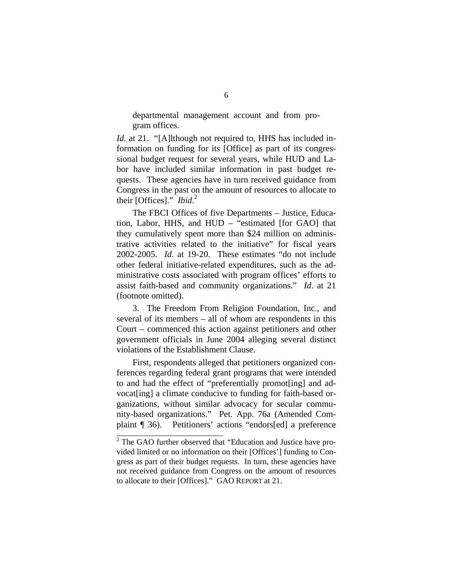departmental management account and from program offices.

*Id.* at 21. "[A]lthough not required to, HHS has included information on funding for its [Office] as part of its congressional budget request for several years, while HUD and Labor have included similar information in past budget requests. These agencies have in turn received guidance from Congress in the past on the amount of resources to allocate to their [Offices]." *Ibid*. [2](#page-16-0)

The FBCI Offices of five Departments – Justice, Education, Labor, HHS, and HUD – "estimated [for GAO] that they cumulatively spent more than \$24 million on administrative activities related to the initiative" for fiscal years 2002-2005. *Id.* at 19-20. These estimates "do not include other federal initiative-related expenditures, such as the administrative costs associated with program offices' efforts to assist faith-based and community organizations." *Id*. at 21 (footnote omitted).

3. The Freedom From Religion Foundation, Inc., and several of its members – all of whom are respondents in this Court – commenced this action against petitioners and other government officials in June 2004 alleging several distinct violations of the Establishment Clause.

First, respondents alleged that petitioners organized conferences regarding federal grant programs that were intended to and had the effect of "preferentially promot[ing] and advocat[ing] a climate conducive to funding for faith-based organizations, without similar advocacy for secular community-based organizations." Pet. App. 76a (Amended Complaint ¶ 36). Petitioners' actions "endors[ed] a preference

<span id="page-16-0"></span><sup>&</sup>lt;sup>2</sup> The GAO further observed that "Education and Justice have provided limited or no information on their [Offices'] funding to Congress as part of their budget requests. In turn, these agencies have not received guidance from Congress on the amount of resources to allocate to their [Offices]." GAO REPORT at 21.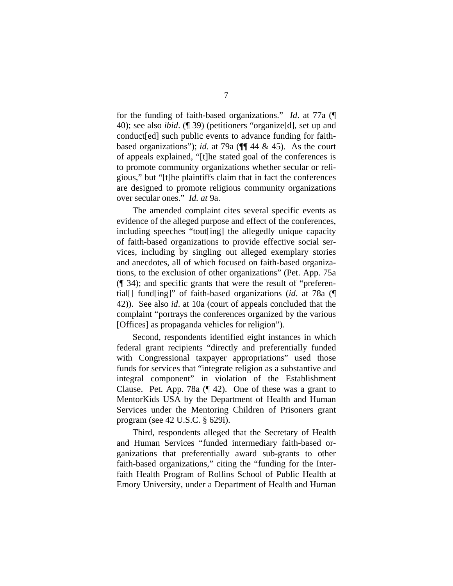for the funding of faith-based organizations." *Id*. at 77a (¶ 40); see also *ibid*. (¶ 39) (petitioners "organize[d], set up and conduct[ed] such public events to advance funding for faithbased organizations"); *id*. at 79a (¶¶ 44 & 45). As the court of appeals explained, "[t]he stated goal of the conferences is to promote community organizations whether secular or religious," but "[t]he plaintiffs claim that in fact the conferences are designed to promote religious community organizations over secular ones." *Id. at* 9a.

The amended complaint cites several specific events as evidence of the alleged purpose and effect of the conferences, including speeches "tout[ing] the allegedly unique capacity of faith-based organizations to provide effective social services, including by singling out alleged exemplary stories and anecdotes, all of which focused on faith-based organizations, to the exclusion of other organizations" (Pet. App. 75a (¶ 34); and specific grants that were the result of "preferential[] fund[ing]" of faith-based organizations (*id*. at 78a (¶ 42)). See also *id*. at 10a (court of appeals concluded that the complaint "portrays the conferences organized by the various [Offices] as propaganda vehicles for religion").

Second, respondents identified eight instances in which federal grant recipients "directly and preferentially funded with Congressional taxpayer appropriations" used those funds for services that "integrate religion as a substantive and integral component" in violation of the Establishment Clause. Pet. App. 78a (¶ 42). One of these was a grant to MentorKids USA by the Department of Health and Human Services under the Mentoring Children of Prisoners grant program (see 42 U.S.C. § 629i).

Third, respondents alleged that the Secretary of Health and Human Services "funded intermediary faith-based organizations that preferentially award sub-grants to other faith-based organizations," citing the "funding for the Interfaith Health Program of Rollins School of Public Health at Emory University, under a Department of Health and Human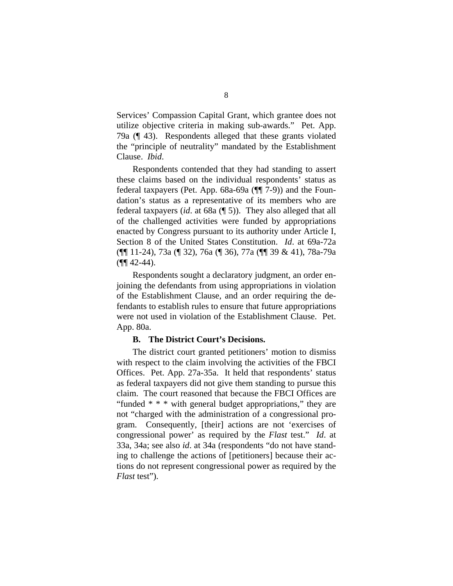<span id="page-18-0"></span>Services' Compassion Capital Grant, which grantee does not utilize objective criteria in making sub-awards." Pet. App. 79a (¶ 43). Respondents alleged that these grants violated the "principle of neutrality" mandated by the Establishment Clause. *Ibid*.

Respondents contended that they had standing to assert these claims based on the individual respondents' status as federal taxpayers (Pet. App. 68a-69a (¶¶ 7-9)) and the Foundation's status as a representative of its members who are federal taxpayers (*id*. at 68a (¶ 5)). They also alleged that all of the challenged activities were funded by appropriations enacted by Congress pursuant to its authority under Article I, Section 8 of the United States Constitution. *Id*. at 69a-72a (¶¶ 11-24), 73a (¶ 32), 76a (¶ 36), 77a (¶¶ 39 & 41), 78a-79a  $($ ¶¶ 42-44).

Respondents sought a declaratory judgment, an order enjoining the defendants from using appropriations in violation of the Establishment Clause, and an order requiring the defendants to establish rules to ensure that future appropriations were not used in violation of the Establishment Clause. Pet. App. 80a.

#### **B. The District Court's Decisions.**

The district court granted petitioners' motion to dismiss with respect to the claim involving the activities of the FBCI Offices. Pet. App. 27a-35a. It held that respondents' status as federal taxpayers did not give them standing to pursue this claim. The court reasoned that because the FBCI Offices are "funded \* \* \* with general budget appropriations," they are not "charged with the administration of a congressional program. Consequently, [their] actions are not 'exercises of congressional power' as required by the *Flast* test." *Id*. at 33a, 34a; see also *id*. at 34a (respondents "do not have standing to challenge the actions of [petitioners] because their actions do not represent congressional power as required by the *Flast* test").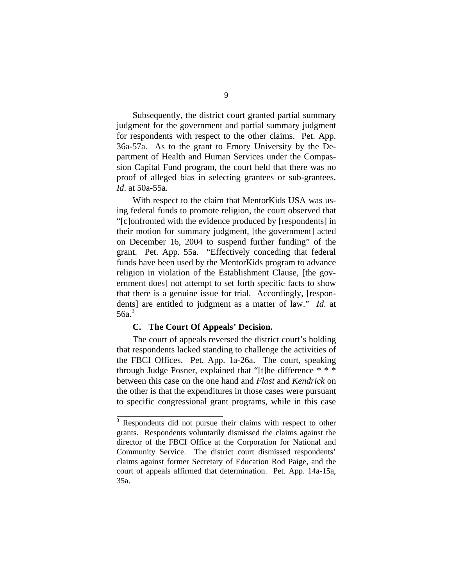<span id="page-19-0"></span>Subsequently, the district court granted partial summary judgment for the government and partial summary judgment for respondents with respect to the other claims. Pet. App. 36a-57a. As to the grant to Emory University by the Department of Health and Human Services under the Compassion Capital Fund program, the court held that there was no proof of alleged bias in selecting grantees or sub-grantees. *Id*. at 50a-55a.

With respect to the claim that MentorKids USA was using federal funds to promote religion, the court observed that "[c]onfronted with the evidence produced by [respondents] in their motion for summary judgment, [the government] acted on December 16, 2004 to suspend further funding" of the grant. Pet. App. 55a. "Effectively conceding that federal funds have been used by the MentorKids program to advance religion in violation of the Establishment Clause, [the government does] not attempt to set forth specific facts to show that there is a genuine issue for trial. Accordingly, [respondents] are entitled to judgment as a matter of law." *Id*. at  $56a$ <sup>3</sup>

#### **C. The Court Of Appeals' Decision.**

The court of appeals reversed the district court's holding that respondents lacked standing to challenge the activities of the FBCI Offices. Pet. App. 1a-26a. The court, speaking through Judge Posner, explained that "[t]he difference \* \* \* between this case on the one hand and *Flast* and *Kendrick* on the other is that the expenditures in those cases were pursuant to specific congressional grant programs, while in this case

<span id="page-19-1"></span><sup>&</sup>lt;sup>3</sup> Respondents did not pursue their claims with respect to other grants. Respondents voluntarily dismissed the claims against the director of the FBCI Office at the Corporation for National and Community Service. The district court dismissed respondents' claims against former Secretary of Education Rod Paige, and the court of appeals affirmed that determination. Pet. App. 14a-15a, 35a.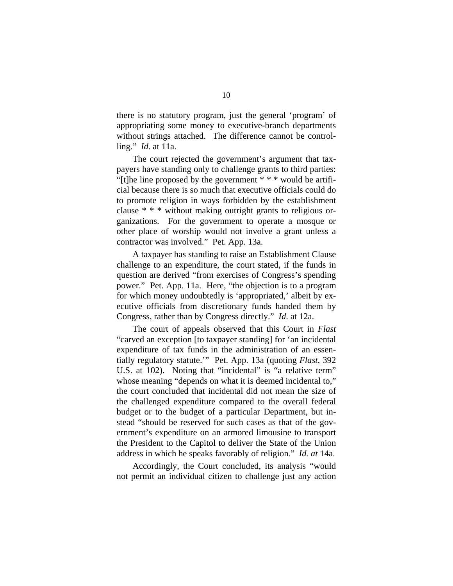there is no statutory program, just the general 'program' of appropriating some money to executive-branch departments without strings attached. The difference cannot be controlling." *Id*. at 11a.

The court rejected the government's argument that taxpayers have standing only to challenge grants to third parties: "[t]he line proposed by the government \* \* \* would be artificial because there is so much that executive officials could do to promote religion in ways forbidden by the establishment clause \* \* \* without making outright grants to religious organizations. For the government to operate a mosque or other place of worship would not involve a grant unless a contractor was involved." Pet. App. 13a.

A taxpayer has standing to raise an Establishment Clause challenge to an expenditure, the court stated, if the funds in question are derived "from exercises of Congress's spending power." Pet. App. 11a. Here, "the objection is to a program for which money undoubtedly is 'appropriated,' albeit by executive officials from discretionary funds handed them by Congress, rather than by Congress directly." *Id*. at 12a.

The court of appeals observed that this Court in *Flast* "carved an exception [to taxpayer standing] for 'an incidental expenditure of tax funds in the administration of an essentially regulatory statute.'" Pet. App. 13a (quoting *Flast*, 392 U.S. at 102). Noting that "incidental" is "a relative term" whose meaning "depends on what it is deemed incidental to," the court concluded that incidental did not mean the size of the challenged expenditure compared to the overall federal budget or to the budget of a particular Department, but instead "should be reserved for such cases as that of the government's expenditure on an armored limousine to transport the President to the Capitol to deliver the State of the Union address in which he speaks favorably of religion." *Id. at* 14a.

Accordingly, the Court concluded, its analysis "would not permit an individual citizen to challenge just any action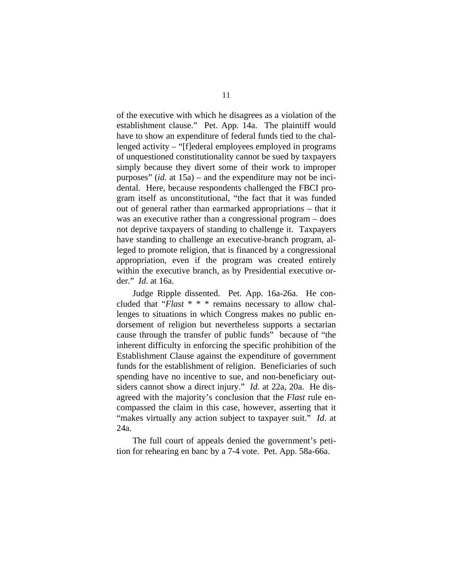of the executive with which he disagrees as a violation of the establishment clause." Pet. App. 14a. The plaintiff would have to show an expenditure of federal funds tied to the challenged activity – "[f]ederal employees employed in programs of unquestioned constitutionality cannot be sued by taxpayers simply because they divert some of their work to improper purposes" (*id*. at 15a) – and the expenditure may not be incidental. Here, because respondents challenged the FBCI program itself as unconstitutional, "the fact that it was funded out of general rather than earmarked appropriations – that it was an executive rather than a congressional program – does not deprive taxpayers of standing to challenge it. Taxpayers have standing to challenge an executive-branch program, alleged to promote religion, that is financed by a congressional appropriation, even if the program was created entirely within the executive branch, as by Presidential executive order." *Id*. at 16a.

Judge Ripple dissented. Pet. App. 16a-26a. He concluded that "*Flast* \* \* \* remains necessary to allow challenges to situations in which Congress makes no public endorsement of religion but nevertheless supports a sectarian cause through the transfer of public funds" because of "the inherent difficulty in enforcing the specific prohibition of the Establishment Clause against the expenditure of government funds for the establishment of religion. Beneficiaries of such spending have no incentive to sue, and non-beneficiary outsiders cannot show a direct injury." *Id.* at 22a, 20a. He disagreed with the majority's conclusion that the *Flast* rule encompassed the claim in this case, however, asserting that it "makes virtually any action subject to taxpayer suit." *Id*. at 24a.

The full court of appeals denied the government's petition for rehearing en banc by a 7-4 vote. Pet. App. 58a-66a.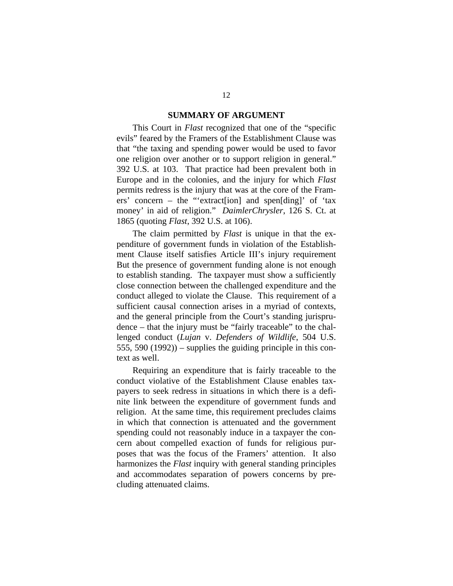#### **SUMMARY OF ARGUMENT**

<span id="page-22-0"></span>This Court in *Flast* recognized that one of the "specific evils" feared by the Framers of the Establishment Clause was that "the taxing and spending power would be used to favor one religion over another or to support religion in general." 392 U.S. at 103. That practice had been prevalent both in Europe and in the colonies, and the injury for which *Flast* permits redress is the injury that was at the core of the Framers' concern – the "'extract[ion] and spen[ding]' of 'tax money' in aid of religion." *DaimlerChrysler*, 126 S. Ct. at 1865 (quoting *Flast*, 392 U.S. at 106).

The claim permitted by *Flast* is unique in that the expenditure of government funds in violation of the Establishment Clause itself satisfies Article III's injury requirement But the presence of government funding alone is not enough to establish standing. The taxpayer must show a sufficiently close connection between the challenged expenditure and the conduct alleged to violate the Clause. This requirement of a sufficient causal connection arises in a myriad of contexts, and the general principle from the Court's standing jurisprudence – that the injury must be "fairly traceable" to the challenged conduct (*Lujan* v. *Defenders of Wildlife*, 504 U.S. 555, 590  $(1992)$  – supplies the guiding principle in this context as well.

Requiring an expenditure that is fairly traceable to the conduct violative of the Establishment Clause enables taxpayers to seek redress in situations in which there is a definite link between the expenditure of government funds and religion. At the same time, this requirement precludes claims in which that connection is attenuated and the government spending could not reasonably induce in a taxpayer the concern about compelled exaction of funds for religious purposes that was the focus of the Framers' attention. It also harmonizes the *Flast* inquiry with general standing principles and accommodates separation of powers concerns by precluding attenuated claims.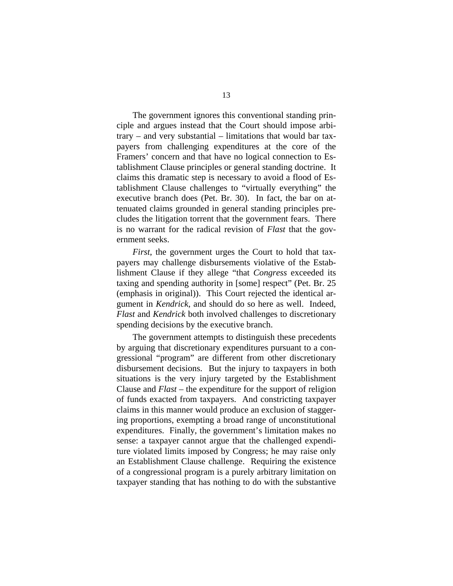The government ignores this conventional standing principle and argues instead that the Court should impose arbitrary – and very substantial – limitations that would bar taxpayers from challenging expenditures at the core of the Framers' concern and that have no logical connection to Establishment Clause principles or general standing doctrine. It claims this dramatic step is necessary to avoid a flood of Establishment Clause challenges to "virtually everything" the executive branch does (Pet. Br. 30). In fact, the bar on attenuated claims grounded in general standing principles precludes the litigation torrent that the government fears. There is no warrant for the radical revision of *Flast* that the government seeks.

*First*, the government urges the Court to hold that taxpayers may challenge disbursements violative of the Establishment Clause if they allege "that *Congress* exceeded its taxing and spending authority in [some] respect" (Pet. Br. 25 (emphasis in original)). This Court rejected the identical argument in *Kendrick*, and should do so here as well. Indeed, *Flast* and *Kendrick* both involved challenges to discretionary spending decisions by the executive branch.

The government attempts to distinguish these precedents by arguing that discretionary expenditures pursuant to a congressional "program" are different from other discretionary disbursement decisions. But the injury to taxpayers in both situations is the very injury targeted by the Establishment Clause and *Flast* – the expenditure for the support of religion of funds exacted from taxpayers. And constricting taxpayer claims in this manner would produce an exclusion of staggering proportions, exempting a broad range of unconstitutional expenditures. Finally, the government's limitation makes no sense: a taxpayer cannot argue that the challenged expenditure violated limits imposed by Congress; he may raise only an Establishment Clause challenge. Requiring the existence of a congressional program is a purely arbitrary limitation on taxpayer standing that has nothing to do with the substantive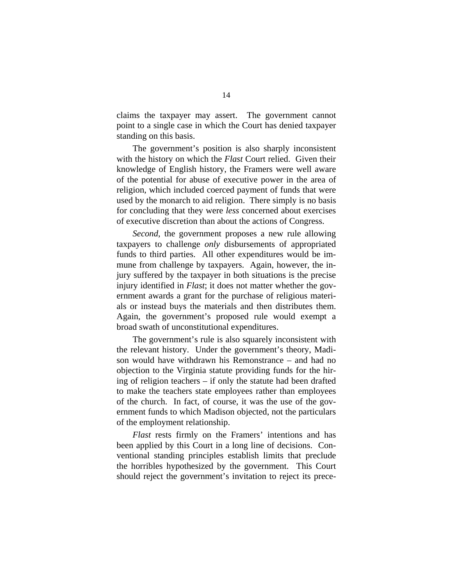claims the taxpayer may assert. The government cannot point to a single case in which the Court has denied taxpayer standing on this basis.

The government's position is also sharply inconsistent with the history on which the *Flast* Court relied. Given their knowledge of English history, the Framers were well aware of the potential for abuse of executive power in the area of religion, which included coerced payment of funds that were used by the monarch to aid religion. There simply is no basis for concluding that they were *less* concerned about exercises of executive discretion than about the actions of Congress.

*Second*, the government proposes a new rule allowing taxpayers to challenge *only* disbursements of appropriated funds to third parties. All other expenditures would be immune from challenge by taxpayers. Again, however, the injury suffered by the taxpayer in both situations is the precise injury identified in *Flast*; it does not matter whether the government awards a grant for the purchase of religious materials or instead buys the materials and then distributes them. Again, the government's proposed rule would exempt a broad swath of unconstitutional expenditures.

The government's rule is also squarely inconsistent with the relevant history. Under the government's theory, Madison would have withdrawn his Remonstrance – and had no objection to the Virginia statute providing funds for the hiring of religion teachers – if only the statute had been drafted to make the teachers state employees rather than employees of the church. In fact, of course, it was the use of the government funds to which Madison objected, not the particulars of the employment relationship.

*Flast* rests firmly on the Framers' intentions and has been applied by this Court in a long line of decisions. Conventional standing principles establish limits that preclude the horribles hypothesized by the government. This Court should reject the government's invitation to reject its prece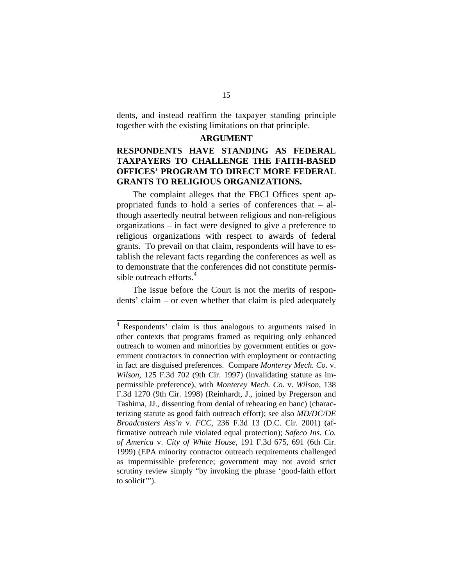<span id="page-25-0"></span>dents, and instead reaffirm the taxpayer standing principle together with the existing limitations on that principle.

#### **ARGUMENT**

## **RESPONDENTS HAVE STANDING AS FEDERAL TAXPAYERS TO CHALLENGE THE FAITH-BASED OFFICES' PROGRAM TO DIRECT MORE FEDERAL GRANTS TO RELIGIOUS ORGANIZATIONS.**

The complaint alleges that the FBCI Offices spent appropriated funds to hold a series of conferences that – although assertedly neutral between religious and non-religious organizations – in fact were designed to give a preference to religious organizations with respect to awards of federal grants. To prevail on that claim, respondents will have to establish the relevant facts regarding the conferences as well as to demonstrate that the conferences did not constitute permissible outreach efforts.<sup>4</sup>

The issue before the Court is not the merits of respondents' claim – or even whether that claim is pled adequately

<span id="page-25-1"></span><sup>&</sup>lt;sup>4</sup> Respondents' claim is thus analogous to arguments raised in other contexts that programs framed as requiring only enhanced outreach to women and minorities by government entities or government contractors in connection with employment or contracting in fact are disguised preferences. Compare *Monterey Mech. Co.* v. *Wilson*, 125 F.3d 702 (9th Cir. 1997) (invalidating statute as impermissible preference), with *Monterey Mech. Co.* v. *Wilson*, 138 F.3d 1270 (9th Cir. 1998) (Reinhardt, J., joined by Pregerson and Tashima, JJ., dissenting from denial of rehearing en banc) (characterizing statute as good faith outreach effort); see also *MD/DC/DE Broadcasters Ass'n* v. *FCC*, 236 F.3d 13 (D.C. Cir. 2001) (affirmative outreach rule violated equal protection); *Safeco Ins. Co. of America* v. *City of White House*, 191 F.3d 675, 691 (6th Cir. 1999) (EPA minority contractor outreach requirements challenged as impermissible preference; government may not avoid strict scrutiny review simply "by invoking the phrase 'good-faith effort to solicit'").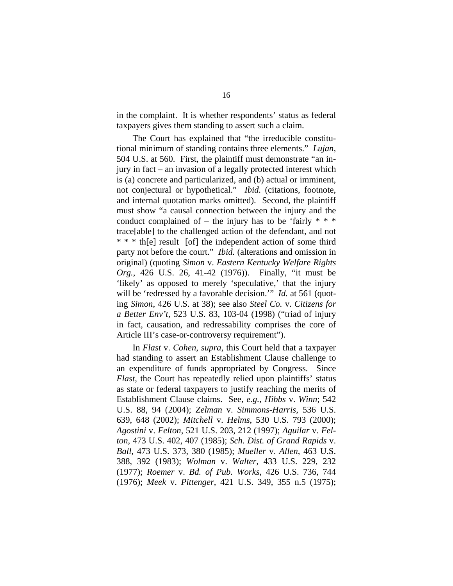in the complaint. It is whether respondents' status as federal taxpayers gives them standing to assert such a claim.

The Court has explained that "the irreducible constitutional minimum of standing contains three elements." *Lujan*, 504 U.S. at 560. First, the plaintiff must demonstrate "an injury in fact – an invasion of a legally protected interest which is (a) concrete and particularized, and (b) actual or imminent, not conjectural or hypothetical." *Ibid.* (citations, footnote, and internal quotation marks omitted). Second, the plaintiff must show "a causal connection between the injury and the conduct complained of – the injury has to be 'fairly  $* * *$ trace[able] to the challenged action of the defendant, and not \* \* \* th[e] result [of] the independent action of some third party not before the court." *Ibid.* (alterations and omission in original) (quoting *Simon* v. *Eastern Kentucky Welfare Rights Org.*, 426 U.S. 26, 41-42 (1976)). Finally, "it must be 'likely' as opposed to merely 'speculative,' that the injury will be 'redressed by a favorable decision.'" *Id.* at 561 (quoting *Simon*, 426 U.S. at 38); see also *Steel Co.* v. *Citizens for a Better Env't*, 523 U.S. 83, 103-04 (1998) ("triad of injury in fact, causation, and redressability comprises the core of Article III's case-or-controversy requirement").

In *Flast* v. *Cohen*, *supra*, this Court held that a taxpayer had standing to assert an Establishment Clause challenge to an expenditure of funds appropriated by Congress. Since *Flast*, the Court has repeatedly relied upon plaintiffs' status as state or federal taxpayers to justify reaching the merits of Establishment Clause claims. See, *e.g.*, *Hibbs* v. *Winn*; 542 U.S. 88, 94 (2004); *Zelman* v. *Simmons-Harris*, 536 U.S. 639, 648 (2002); *Mitchell* v. *Helms*, 530 U.S. 793 (2000); *Agostini* v. *Felton*, 521 U.S. 203, 212 (1997); *Aguilar* v. *Felton*, 473 U.S. 402, 407 (1985); *Sch. Dist. of Grand Rapids* v. *Ball*, 473 U.S. 373, 380 (1985); *Mueller* v. *Allen*, 463 U.S. 388, 392 (1983); *Wolman* v. *Walter*, 433 U.S. 229, 232 (1977); *Roemer* v. *Bd. of Pub. Works*, 426 U.S. 736, 744 (1976); *Meek* v. *Pittenger*, 421 U.S. 349, 355 n.5 (1975);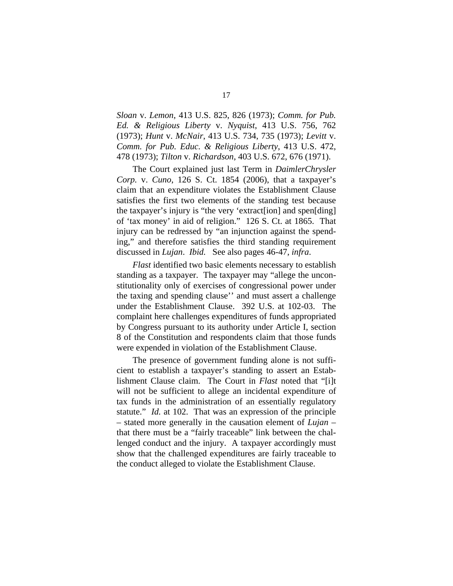*Sloan* v. *Lemon*, 413 U.S. 825, 826 (1973); *Comm. for Pub. Ed. & Religious Liberty* v. *Nyquist*, 413 U.S. 756, 762 (1973); *Hunt* v. *McNair*, 413 U.S. 734, 735 (1973); *Levitt* v. *Comm. for Pub. Educ. & Religious Liberty*, 413 U.S. 472, 478 (1973); *Tilton* v. *Richardson*, 403 U.S. 672, 676 (1971).

The Court explained just last Term in *DaimlerChrysler Corp.* v. *Cuno*, 126 S. Ct. 1854 (2006), that a taxpayer's claim that an expenditure violates the Establishment Clause satisfies the first two elements of the standing test because the taxpayer's injury is "the very 'extract[ion] and spen[ding] of 'tax money' in aid of religion." 126 S. Ct. at 1865. That injury can be redressed by "an injunction against the spending," and therefore satisfies the third standing requirement discussed in *Lujan*. *Ibid.* See also pages 46-47, *infra*.

*Flast* identified two basic elements necessary to establish standing as a taxpayer. The taxpayer may "allege the unconstitutionality only of exercises of congressional power under the taxing and spending clause'' and must assert a challenge under the Establishment Clause. 392 U.S. at 102-03. The complaint here challenges expenditures of funds appropriated by Congress pursuant to its authority under Article I, section 8 of the Constitution and respondents claim that those funds were expended in violation of the Establishment Clause.

The presence of government funding alone is not sufficient to establish a taxpayer's standing to assert an Establishment Clause claim. The Court in *Flast* noted that "[i]t will not be sufficient to allege an incidental expenditure of tax funds in the administration of an essentially regulatory statute." *Id.* at 102. That was an expression of the principle – stated more generally in the causation element of *Lujan* – that there must be a "fairly traceable" link between the challenged conduct and the injury. A taxpayer accordingly must show that the challenged expenditures are fairly traceable to the conduct alleged to violate the Establishment Clause.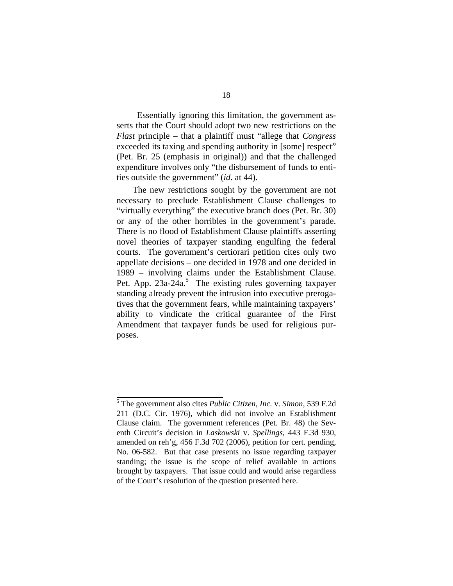Essentially ignoring this limitation, the government asserts that the Court should adopt two new restrictions on the *Flast* principle – that a plaintiff must "allege that *Congress* exceeded its taxing and spending authority in [some] respect" (Pet. Br. 25 (emphasis in original)) and that the challenged expenditure involves only "the disbursement of funds to entities outside the government" (*id*. at 44).

The new restrictions sought by the government are not necessary to preclude Establishment Clause challenges to "virtually everything" the executive branch does (Pet. Br. 30) or any of the other horribles in the government's parade. There is no flood of Establishment Clause plaintiffs asserting novel theories of taxpayer standing engulfing the federal courts. The government's certiorari petition cites only two appellate decisions – one decided in 1978 and one decided in 1989 – involving claims under the Establishment Clause. Pet. App.  $23a-24a$ <sup>5</sup> The existing rules governing taxpayer standing already prevent the intrusion into executive prerogatives that the government fears, while maintaining taxpayers' ability to vindicate the critical guarantee of the First Amendment that taxpayer funds be used for religious purposes.

<span id="page-28-0"></span> 5 The government also cites *Public Citizen, Inc.* v. *Simon*, 539 F.2d 211 (D.C. Cir. 1976), which did not involve an Establishment Clause claim. The government references (Pet. Br. 48) the Seventh Circuit's decision in *Laskowski* v. *Spellings*, 443 F.3d 930, amended on reh'g, 456 F.3d 702 (2006), petition for cert. pending, No. 06-582. But that case presents no issue regarding taxpayer standing; the issue is the scope of relief available in actions brought by taxpayers. That issue could and would arise regardless of the Court's resolution of the question presented here.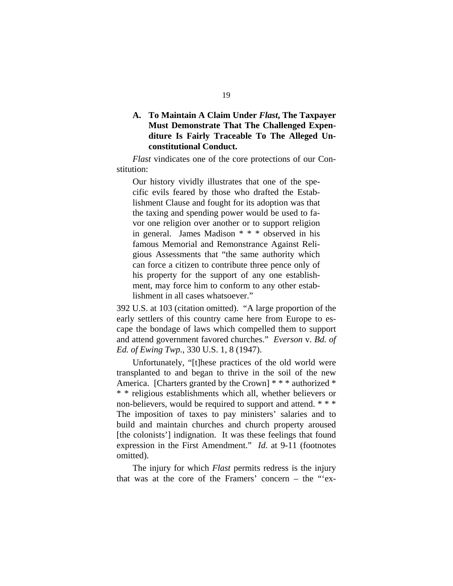## <span id="page-29-0"></span>**A. To Maintain A Claim Under** *Flast***, The Taxpayer Must Demonstrate That The Challenged Expenditure Is Fairly Traceable To The Alleged Unconstitutional Conduct.**

*Flast* vindicates one of the core protections of our Constitution:

Our history vividly illustrates that one of the specific evils feared by those who drafted the Establishment Clause and fought for its adoption was that the taxing and spending power would be used to favor one religion over another or to support religion in general. James Madison \* \* \* observed in his famous Memorial and Remonstrance Against Religious Assessments that "the same authority which can force a citizen to contribute three pence only of his property for the support of any one establishment, may force him to conform to any other establishment in all cases whatsoever."

392 U.S. at 103 (citation omitted). "A large proportion of the early settlers of this country came here from Europe to escape the bondage of laws which compelled them to support and attend government favored churches." *Everson* v. *Bd. of Ed. of Ewing Twp.*, 330 U.S. 1, 8 (1947).

Unfortunately, "[t]hese practices of the old world were transplanted to and began to thrive in the soil of the new America. [Charters granted by the Crown] \* \* \* authorized \* \* \* religious establishments which all, whether believers or non-believers, would be required to support and attend. \* \* \* The imposition of taxes to pay ministers' salaries and to build and maintain churches and church property aroused [the colonists'] indignation. It was these feelings that found expression in the First Amendment." *Id*. at 9-11 (footnotes omitted).

The injury for which *Flast* permits redress is the injury that was at the core of the Framers' concern – the "'ex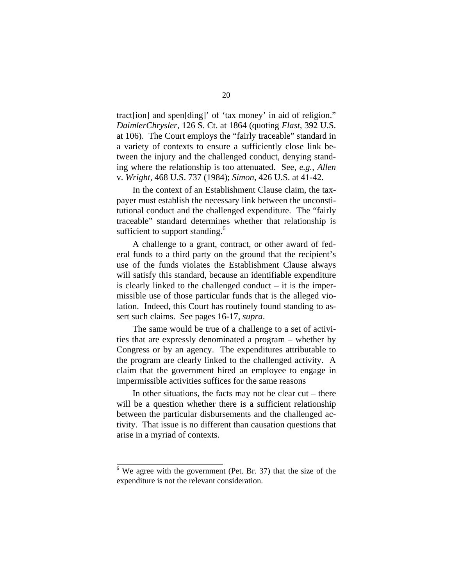tract[ion] and spen[ding]' of 'tax money' in aid of religion." *DaimlerChrysler*, 126 S. Ct. at 1864 (quoting *Flast*, 392 U.S. at 106). The Court employs the "fairly traceable" standard in a variety of contexts to ensure a sufficiently close link between the injury and the challenged conduct, denying standing where the relationship is too attenuated. See, *e.g.*, *Allen* v. *Wright*, 468 U.S. 737 (1984); *Simon*, 426 U.S. at 41-42.

In the context of an Establishment Clause claim, the taxpayer must establish the necessary link between the unconstitutional conduct and the challenged expenditure. The "fairly traceable" standard determines whether that relationship is sufficient to support standing.<sup>[6](#page-30-0)</sup>

A challenge to a grant, contract, or other award of federal funds to a third party on the ground that the recipient's use of the funds violates the Establishment Clause always will satisfy this standard, because an identifiable expenditure is clearly linked to the challenged conduct – it is the impermissible use of those particular funds that is the alleged violation. Indeed, this Court has routinely found standing to assert such claims. See pages 16-17, *supra*.

The same would be true of a challenge to a set of activities that are expressly denominated a program – whether by Congress or by an agency. The expenditures attributable to the program are clearly linked to the challenged activity. A claim that the government hired an employee to engage in impermissible activities suffices for the same reasons

In other situations, the facts may not be clear  $cut$  – there will be a question whether there is a sufficient relationship between the particular disbursements and the challenged activity. That issue is no different than causation questions that arise in a myriad of contexts.

<span id="page-30-0"></span> $\frac{6}{6}$  We agree with the government (Pet. Br. 37) that the size of the expenditure is not the relevant consideration.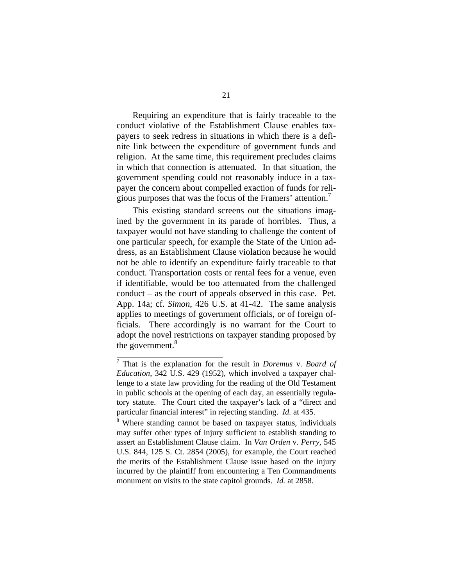Requiring an expenditure that is fairly traceable to the conduct violative of the Establishment Clause enables taxpayers to seek redress in situations in which there is a definite link between the expenditure of government funds and religion. At the same time, this requirement precludes claims in which that connection is attenuated. In that situation, the government spending could not reasonably induce in a taxpayer the concern about compelled exaction of funds for religious purposes that was the focus of the Framers' attention[.7](#page-31-0)

This existing standard screens out the situations imagined by the government in its parade of horribles. Thus, a taxpayer would not have standing to challenge the content of one particular speech, for example the State of the Union address, as an Establishment Clause violation because he would not be able to identify an expenditure fairly traceable to that conduct. Transportation costs or rental fees for a venue, even if identifiable, would be too attenuated from the challenged conduct – as the court of appeals observed in this case. Pet. App. 14a; cf. *Simon*, 426 U.S. at 41-42. The same analysis applies to meetings of government officials, or of foreign officials. There accordingly is no warrant for the Court to adopt the novel restrictions on taxpayer standing proposed by the government.<sup>[8](#page-31-1)</sup>

<span id="page-31-0"></span> 7 That is the explanation for the result in *Doremus* v. *Board of Education*, 342 U.S. 429 (1952), which involved a taxpayer challenge to a state law providing for the reading of the Old Testament in public schools at the opening of each day, an essentially regulatory statute. The Court cited the taxpayer's lack of a "direct and particular financial interest" in rejecting standing. *Id.* at 435.

<span id="page-31-1"></span><sup>&</sup>lt;sup>8</sup> Where standing cannot be based on taxpayer status, individuals may suffer other types of injury sufficient to establish standing to assert an Establishment Clause claim. In *Van Orden* v. *Perry*, 545 U.S. 844, 125 S. Ct. 2854 (2005), for example, the Court reached the merits of the Establishment Clause issue based on the injury incurred by the plaintiff from encountering a Ten Commandments monument on visits to the state capitol grounds. *Id.* at 2858.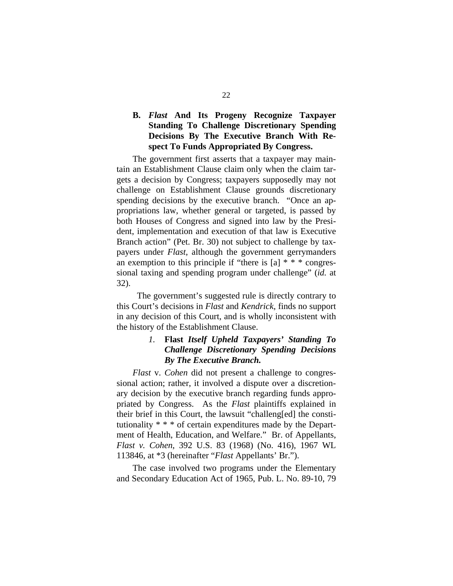## <span id="page-32-0"></span>**B.** *Flast* **And Its Progeny Recognize Taxpayer Standing To Challenge Discretionary Spending Decisions By The Executive Branch With Respect To Funds Appropriated By Congress.**

The government first asserts that a taxpayer may maintain an Establishment Clause claim only when the claim targets a decision by Congress; taxpayers supposedly may not challenge on Establishment Clause grounds discretionary spending decisions by the executive branch. "Once an appropriations law, whether general or targeted, is passed by both Houses of Congress and signed into law by the President, implementation and execution of that law is Executive Branch action" (Pet. Br. 30) not subject to challenge by taxpayers under *Flast*, although the government gerrymanders an exemption to this principle if "there is  $[a]$  \* \* \* congressional taxing and spending program under challenge" (*id.* at 32).

The government's suggested rule is directly contrary to this Court's decisions in *Flast* and *Kendrick*, finds no support in any decision of this Court, and is wholly inconsistent with the history of the Establishment Clause.

## *1.* **Flast** *Itself Upheld Taxpayers' Standing To Challenge Discretionary Spending Decisions By The Executive Branch.*

*Flast* v. *Cohen* did not present a challenge to congressional action; rather, it involved a dispute over a discretionary decision by the executive branch regarding funds appropriated by Congress. As the *Flast* plaintiffs explained in their brief in this Court, the lawsuit "challeng[ed] the constitutionality \* \* \* of certain expenditures made by the Department of Health, Education, and Welfare." Br. of Appellants, *Flast v. Cohen*, 392 U.S. 83 (1968) (No. 416), 1967 WL 113846, at \*3 (hereinafter "*Flast* Appellants' Br.").

The case involved two programs under the Elementary and Secondary Education Act of 1965, Pub. L. No. 89-10, 79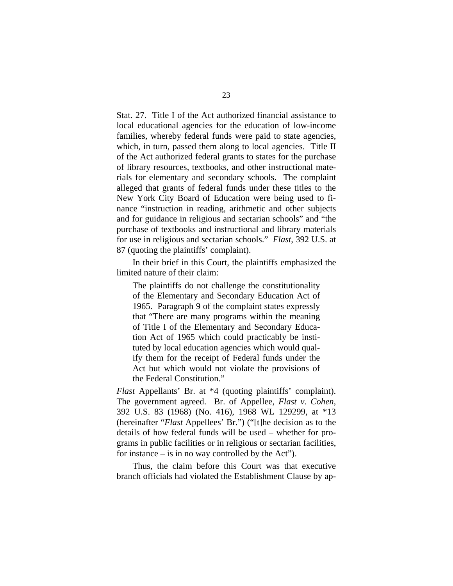Stat. 27. Title I of the Act authorized financial assistance to local educational agencies for the education of low-income families, whereby federal funds were paid to state agencies, which, in turn, passed them along to local agencies. Title II of the Act authorized federal grants to states for the purchase of library resources, textbooks, and other instructional materials for elementary and secondary schools. The complaint alleged that grants of federal funds under these titles to the New York City Board of Education were being used to finance "instruction in reading, arithmetic and other subjects and for guidance in religious and sectarian schools" and "the purchase of textbooks and instructional and library materials for use in religious and sectarian schools." *Flast*, 392 U.S. at 87 (quoting the plaintiffs' complaint).

In their brief in this Court, the plaintiffs emphasized the limited nature of their claim:

The plaintiffs do not challenge the constitutionality of the Elementary and Secondary Education Act of 1965. Paragraph 9 of the complaint states expressly that "There are many programs within the meaning of Title I of the Elementary and Secondary Education Act of 1965 which could practicably be instituted by local education agencies which would qualify them for the receipt of Federal funds under the Act but which would not violate the provisions of the Federal Constitution."

*Flast* Appellants' Br. at \*4 (quoting plaintiffs' complaint). The government agreed. Br. of Appellee, *Flast v. Cohen*, 392 U.S. 83 (1968) (No. 416), 1968 WL 129299, at \*13 (hereinafter "*Flast* Appellees' Br.") ("[t]he decision as to the details of how federal funds will be used – whether for programs in public facilities or in religious or sectarian facilities, for instance – is in no way controlled by the Act").

Thus, the claim before this Court was that executive branch officials had violated the Establishment Clause by ap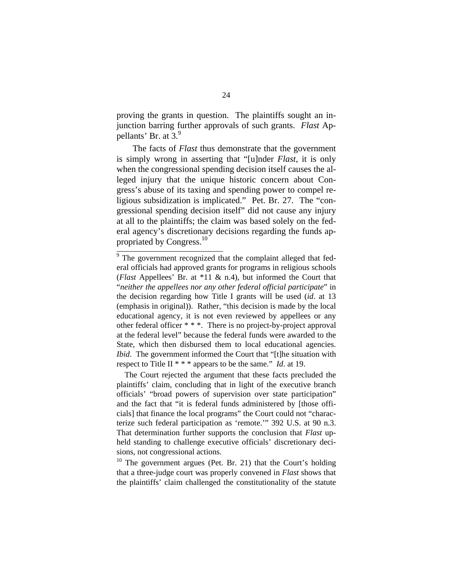proving the grants in question. The plaintiffs sought an injunction barring further approvals of such grants. *Flast* Ap-pellants' Br. at 3.<sup>[9](#page-34-0)</sup>

The facts of *Flast* thus demonstrate that the government is simply wrong in asserting that "[u]nder *Flast*, it is only when the congressional spending decision itself causes the alleged injury that the unique historic concern about Congress's abuse of its taxing and spending power to compel religious subsidization is implicated." Pet. Br. 27. The "congressional spending decision itself" did not cause any injury at all to the plaintiffs; the claim was based solely on the federal agency's discretionary decisions regarding the funds appropriated by Congress.<sup>10</sup>

<span id="page-34-0"></span><sup>&</sup>lt;sup>9</sup> The government recognized that the complaint alleged that federal officials had approved grants for programs in religious schools (*Flast* Appellees' Br. at \*11 & n.4), but informed the Court that "*neither the appellees nor any other federal official participate*" in the decision regarding how Title I grants will be used (*id*. at 13 (emphasis in original)). Rather, "this decision is made by the local educational agency, it is not even reviewed by appellees or any other federal officer \* \* \*. There is no project-by-project approval at the federal level" because the federal funds were awarded to the State, which then disbursed them to local educational agencies. *Ibid*. The government informed the Court that "[t]he situation with respect to Title II \* \* \* appears to be the same." *Id*. at 19.

The Court rejected the argument that these facts precluded the plaintiffs' claim, concluding that in light of the executive branch officials' "broad powers of supervision over state participation" and the fact that "it is federal funds administered by [those officials] that finance the local programs" the Court could not "characterize such federal participation as 'remote.'" 392 U.S. at 90 n.3. That determination further supports the conclusion that *Flast* upheld standing to challenge executive officials' discretionary decisions, not congressional actions.

<span id="page-34-1"></span><sup>&</sup>lt;sup>10</sup> The government argues (Pet. Br. 21) that the Court's holding that a three-judge court was properly convened in *Flast* shows that the plaintiffs' claim challenged the constitutionality of the statute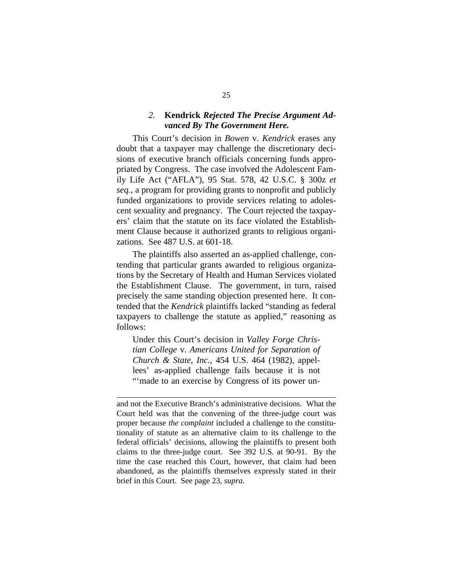## *2.* **Kendrick** *Rejected The Precise Argument Advanced By The Government Here.*

<span id="page-35-0"></span>This Court's decision in *Bowen* v. *Kendrick* erases any doubt that a taxpayer may challenge the discretionary decisions of executive branch officials concerning funds appropriated by Congress. The case involved the Adolescent Family Life Act ("AFLA"), 95 Stat. 578, 42 U.S.C. § 300z *et seq.*, a program for providing grants to nonprofit and publicly funded organizations to provide services relating to adolescent sexuality and pregnancy. The Court rejected the taxpayers' claim that the statute on its face violated the Establishment Clause because it authorized grants to religious organizations. See 487 U.S. at 601-18.

The plaintiffs also asserted an as-applied challenge, contending that particular grants awarded to religious organizations by the Secretary of Health and Human Services violated the Establishment Clause. The government, in turn, raised precisely the same standing objection presented here. It contended that the *Kendrick* plaintiffs lacked "standing as federal taxpayers to challenge the statute as applied," reasoning as follows:

Under this Court's decision in *Valley Forge Christian College* v. *Americans United for Separation of Church & State, Inc.*, 454 U.S. 464 (1982), appellees' as-applied challenge fails because it is not "made to an exercise by Congress of its power un-

í

and not the Executive Branch's administrative decisions. What the Court held was that the convening of the three-judge court was proper because *the complaint* included a challenge to the constitutionality of statute as an alternative claim to its challenge to the federal officials' decisions, allowing the plaintiffs to present both claims to the three-judge court. See 392 U.S. at 90-91. By the time the case reached this Court, however, that claim had been abandoned, as the plaintiffs themselves expressly stated in their brief in this Court. See page 23, *supra*.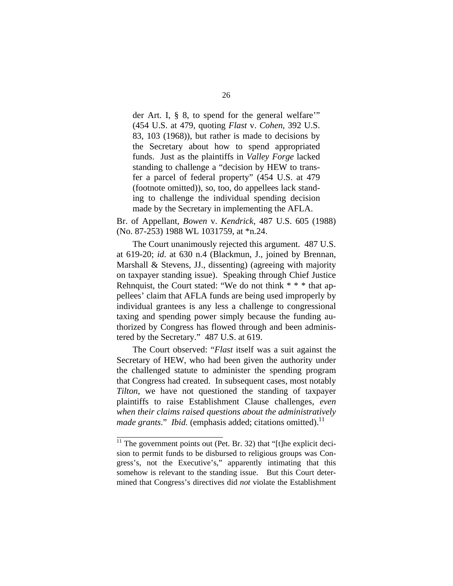der Art. I, § 8, to spend for the general welfare'" (454 U.S. at 479, quoting *Flast* v. *Cohen*, 392 U.S. 83, 103 (1968)), but rather is made to decisions by the Secretary about how to spend appropriated funds. Just as the plaintiffs in *Valley Forge* lacked standing to challenge a "decision by HEW to transfer a parcel of federal property" (454 U.S. at 479 (footnote omitted)), so, too, do appellees lack standing to challenge the individual spending decision made by the Secretary in implementing the AFLA.

Br. of Appellant, *Bowen* v. *Kendrick*, 487 U.S. 605 (1988) (No. 87-253) 1988 WL 1031759, at \*n.24.

The Court unanimously rejected this argument. 487 U.S. at 619-20; *id*. at 630 n.4 (Blackmun, J., joined by Brennan, Marshall & Stevens, JJ., dissenting) (agreeing with majority on taxpayer standing issue). Speaking through Chief Justice Rehnquist, the Court stated: "We do not think \* \* \* that appellees' claim that AFLA funds are being used improperly by individual grantees is any less a challenge to congressional taxing and spending power simply because the funding authorized by Congress has flowed through and been administered by the Secretary." 487 U.S. at 619.

The Court observed: "*Flast* itself was a suit against the Secretary of HEW, who had been given the authority under the challenged statute to administer the spending program that Congress had created. In subsequent cases, most notably *Tilton*, we have not questioned the standing of taxpayer plaintiffs to raise Establishment Clause challenges, *even when their claims raised questions about the administratively made grants.*" *Ibid.* (emphasis added; citations omitted).<sup>11</sup>

<span id="page-36-0"></span> $\frac{11}{11}$  The government points out (Pet. Br. 32) that "[t]he explicit decision to permit funds to be disbursed to religious groups was Congress's, not the Executive's," apparently intimating that this somehow is relevant to the standing issue. But this Court determined that Congress's directives did *not* violate the Establishment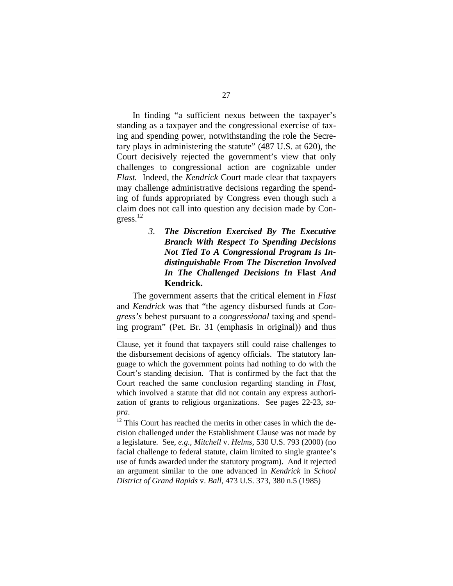<span id="page-37-0"></span>In finding "a sufficient nexus between the taxpayer's standing as a taxpayer and the congressional exercise of taxing and spending power, notwithstanding the role the Secretary plays in administering the statute" (487 U.S. at 620), the Court decisively rejected the government's view that only challenges to congressional action are cognizable under *Flast.* Indeed, the *Kendrick* Court made clear that taxpayers may challenge administrative decisions regarding the spending of funds appropriated by Congress even though such a claim does not call into question any decision made by Con $gress.<sup>12</sup>$ 

> *3. The Discretion Exercised By The Executive Branch With Respect To Spending Decisions Not Tied To A Congressional Program Is Indistinguishable From The Discretion Involved In The Challenged Decisions In* **Flast** *And*  **Kendrick.**

The government asserts that the critical element in *Flast* and *Kendrick* was that "the agency disbursed funds at *Congress's* behest pursuant to a *congressional* taxing and spending program" (Pet. Br. 31 (emphasis in original)) and thus

 $\overline{a}$ 

Clause, yet it found that taxpayers still could raise challenges to the disbursement decisions of agency officials. The statutory language to which the government points had nothing to do with the Court's standing decision. That is confirmed by the fact that the Court reached the same conclusion regarding standing in *Flast*, which involved a statute that did not contain any express authorization of grants to religious organizations. See pages 22-23, *supra*. 12 This Court has reached the merits in other cases in which the de-

<span id="page-37-1"></span>cision challenged under the Establishment Clause was not made by a legislature. See, *e.g.*, *Mitchell* v. *Helms*, 530 U.S. 793 (2000) (no facial challenge to federal statute, claim limited to single grantee's use of funds awarded under the statutory program). And it rejected an argument similar to the one advanced in *Kendrick* in *School District of Grand Rapids* v. *Ball*, 473 U.S. 373, 380 n.5 (1985)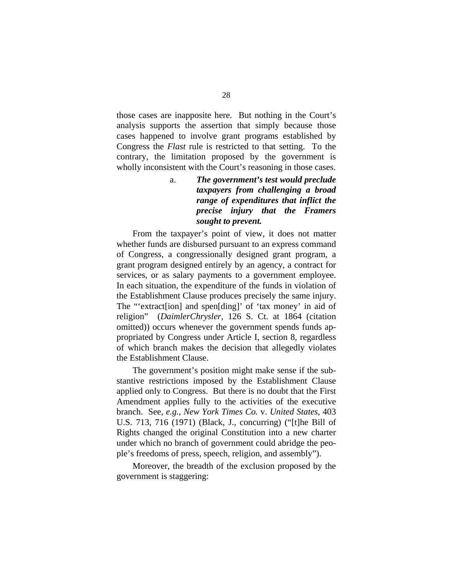<span id="page-38-0"></span>those cases are inapposite here. But nothing in the Court's analysis supports the assertion that simply because those cases happened to involve grant programs established by Congress the *Flast* rule is restricted to that setting. To the contrary, the limitation proposed by the government is wholly inconsistent with the Court's reasoning in those cases.

> a. *The government's test would preclude taxpayers from challenging a broad range of expenditures that inflict the precise injury that the Framers sought to prevent.*

From the taxpayer's point of view, it does not matter whether funds are disbursed pursuant to an express command of Congress, a congressionally designed grant program, a grant program designed entirely by an agency, a contract for services, or as salary payments to a government employee. In each situation, the expenditure of the funds in violation of the Establishment Clause produces precisely the same injury. The "'extract[ion] and spen[ding]' of 'tax money' in aid of religion" (*DaimlerChrysler*, 126 S. Ct. at 1864 (citation omitted)) occurs whenever the government spends funds appropriated by Congress under Article I, section 8, regardless of which branch makes the decision that allegedly violates the Establishment Clause.

The government's position might make sense if the substantive restrictions imposed by the Establishment Clause applied only to Congress. But there is no doubt that the First Amendment applies fully to the activities of the executive branch. See, *e.g.*, *New York Times Co.* v. *United States*, 403 U.S. 713, 716 (1971) (Black, J., concurring) ("[t]he Bill of Rights changed the original Constitution into a new charter under which no branch of government could abridge the people's freedoms of press, speech, religion, and assembly").

Moreover, the breadth of the exclusion proposed by the government is staggering: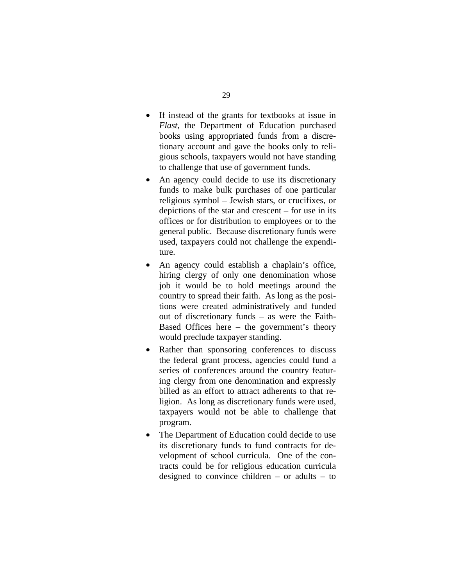- If instead of the grants for textbooks at issue in *Flast*, the Department of Education purchased books using appropriated funds from a discretionary account and gave the books only to religious schools, taxpayers would not have standing to challenge that use of government funds.
- An agency could decide to use its discretionary funds to make bulk purchases of one particular religious symbol – Jewish stars, or crucifixes, or depictions of the star and crescent – for use in its offices or for distribution to employees or to the general public. Because discretionary funds were used, taxpayers could not challenge the expenditure.
- An agency could establish a chaplain's office, hiring clergy of only one denomination whose job it would be to hold meetings around the country to spread their faith. As long as the positions were created administratively and funded out of discretionary funds – as were the Faith-Based Offices here – the government's theory would preclude taxpayer standing.
- Rather than sponsoring conferences to discuss the federal grant process, agencies could fund a series of conferences around the country featuring clergy from one denomination and expressly billed as an effort to attract adherents to that religion. As long as discretionary funds were used, taxpayers would not be able to challenge that program.
- The Department of Education could decide to use its discretionary funds to fund contracts for development of school curricula. One of the contracts could be for religious education curricula designed to convince children – or adults – to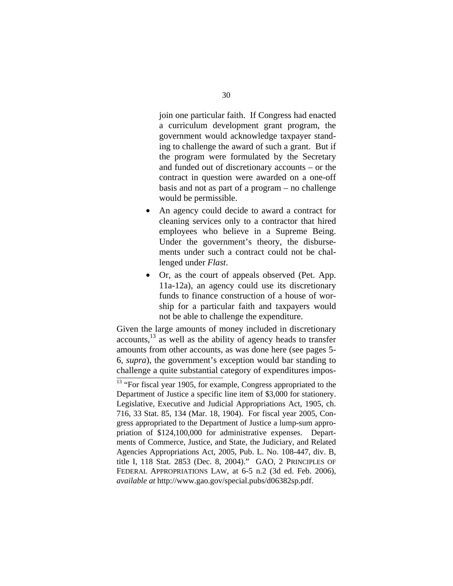join one particular faith. If Congress had enacted a curriculum development grant program, the government would acknowledge taxpayer standing to challenge the award of such a grant. But if the program were formulated by the Secretary and funded out of discretionary accounts – or the contract in question were awarded on a one-off basis and not as part of a program – no challenge would be permissible.

- An agency could decide to award a contract for cleaning services only to a contractor that hired employees who believe in a Supreme Being. Under the government's theory, the disbursements under such a contract could not be challenged under *Flast*.
- Or, as the court of appeals observed (Pet. App. 11a-12a), an agency could use its discretionary funds to finance construction of a house of worship for a particular faith and taxpayers would not be able to challenge the expenditure.

Given the large amounts of money included in discretionary  $accounts<sup>13</sup>$  as well as the ability of agency heads to transfer amounts from other accounts, as was done here (see pages 5- 6, *supra*), the government's exception would bar standing to challenge a quite substantial category of expenditures impos-

<span id="page-40-0"></span> $\frac{13}{13}$  "For fiscal year 1905, for example, Congress appropriated to the Department of Justice a specific line item of \$3,000 for stationery. Legislative, Executive and Judicial Appropriations Act, 1905, ch. 716, 33 Stat. 85, 134 (Mar. 18, 1904). For fiscal year 2005, Congress appropriated to the Department of Justice a lump-sum appropriation of \$124,100,000 for administrative expenses. Departments of Commerce, Justice, and State, the Judiciary, and Related Agencies Appropriations Act, 2005, Pub. L. No. 108-447, div. B, title I, 118 Stat. 2853 (Dec. 8, 2004)." GAO, 2 PRINCIPLES OF FEDERAL APPROPRIATIONS LAW, at 6-5 n.2 (3d ed. Feb. 2006), *available at* http://www.gao.gov/special.pubs/d06382sp.pdf.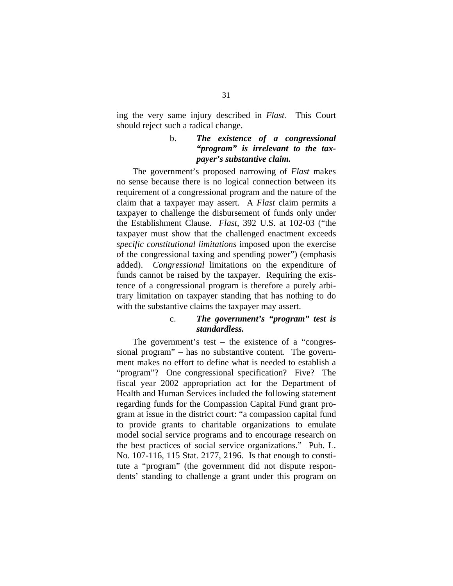<span id="page-41-0"></span>ing the very same injury described in *Flast.* This Court should reject such a radical change.

## b. *The existence of a congressional "program" is irrelevant to the taxpayer's substantive claim.*

The government's proposed narrowing of *Flast* makes no sense because there is no logical connection between its requirement of a congressional program and the nature of the claim that a taxpayer may assert. A *Flast* claim permits a taxpayer to challenge the disbursement of funds only under the Establishment Clause. *Flast*, 392 U.S. at 102-03 ("the taxpayer must show that the challenged enactment exceeds *specific constitutional limitations* imposed upon the exercise of the congressional taxing and spending power") (emphasis added). *Congressional* limitations on the expenditure of funds cannot be raised by the taxpayer. Requiring the existence of a congressional program is therefore a purely arbitrary limitation on taxpayer standing that has nothing to do with the substantive claims the taxpayer may assert.

#### c. *The government's "program" test is standardless.*

The government's test  $-$  the existence of a "congressional program" – has no substantive content. The government makes no effort to define what is needed to establish a "program"? One congressional specification? Five? The fiscal year 2002 appropriation act for the Department of Health and Human Services included the following statement regarding funds for the Compassion Capital Fund grant program at issue in the district court: "a compassion capital fund to provide grants to charitable organizations to emulate model social service programs and to encourage research on the best practices of social service organizations." Pub. L. No. 107-116, 115 Stat. 2177, 2196. Is that enough to constitute a "program" (the government did not dispute respondents' standing to challenge a grant under this program on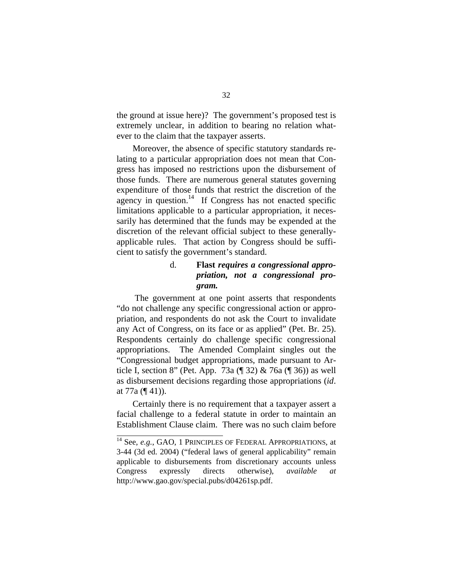<span id="page-42-0"></span>the ground at issue here)? The government's proposed test is extremely unclear, in addition to bearing no relation whatever to the claim that the taxpayer asserts.

Moreover, the absence of specific statutory standards relating to a particular appropriation does not mean that Congress has imposed no restrictions upon the disbursement of those funds. There are numerous general statutes governing expenditure of those funds that restrict the discretion of the agency in question.<sup>14</sup> If Congress has not enacted specific limitations applicable to a particular appropriation, it necessarily has determined that the funds may be expended at the discretion of the relevant official subject to these generallyapplicable rules. That action by Congress should be sufficient to satisfy the government's standard.

## d. **Flast** *requires a congressional appropriation, not a congressional program.*

The government at one point asserts that respondents "do not challenge any specific congressional action or appropriation, and respondents do not ask the Court to invalidate any Act of Congress, on its face or as applied" (Pet. Br. 25). Respondents certainly do challenge specific congressional appropriations. The Amended Complaint singles out the "Congressional budget appropriations, made pursuant to Article I, section 8" (Pet. App. 73a (¶ 32) & 76a (¶ 36)) as well as disbursement decisions regarding those appropriations (*id*. at 77a (¶ 41)).

Certainly there is no requirement that a taxpayer assert a facial challenge to a federal statute in order to maintain an Establishment Clause claim. There was no such claim before

<span id="page-42-1"></span> 14 See, *e.g.*, GAO, 1 PRINCIPLES OF FEDERAL APPROPRIATIONS, at 3-44 (3d ed. 2004) ("federal laws of general applicability" remain applicable to disbursements from discretionary accounts unless Congress expressly directs otherwise), *available at* http://www.gao.gov/special.pubs/d04261sp.pdf.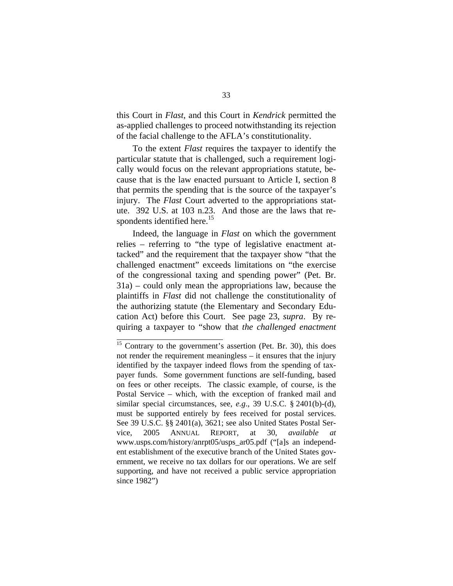this Court in *Flast*, and this Court in *Kendrick* permitted the as-applied challenges to proceed notwithstanding its rejection of the facial challenge to the AFLA's constitutionality.

To the extent *Flast* requires the taxpayer to identify the particular statute that is challenged, such a requirement logically would focus on the relevant appropriations statute, because that is the law enacted pursuant to Article I, section 8 that permits the spending that is the source of the taxpayer's injury. The *Flast* Court adverted to the appropriations statute. 392 U.S. at 103 n.23. And those are the laws that respondents identified here.<sup>15</sup>

Indeed, the language in *Flast* on which the government relies – referring to "the type of legislative enactment attacked" and the requirement that the taxpayer show "that the challenged enactment" exceeds limitations on "the exercise of the congressional taxing and spending power" (Pet. Br. 31a) – could only mean the appropriations law, because the plaintiffs in *Flast* did not challenge the constitutionality of the authorizing statute (the Elementary and Secondary Education Act) before this Court. See page 23, *supra*. By requiring a taxpayer to "show that *the challenged enactment*

<span id="page-43-0"></span> $15$  Contrary to the government's assertion (Pet. Br. 30), this does not render the requirement meaningless – it ensures that the injury identified by the taxpayer indeed flows from the spending of taxpayer funds. Some government functions are self-funding, based on fees or other receipts. The classic example, of course, is the Postal Service – which, with the exception of franked mail and similar special circumstances, see, *e.g*., 39 U.S.C. § 2401(b)-(d), must be supported entirely by fees received for postal services. See 39 U.S.C. §§ 2401(a), 3621; see also United States Postal Service, 2005 ANNUAL REPORT, at 30, *available* [www.usps.com/history/anrpt05/usps\\_ar05.pdf](http://www.usps.com/history/anrpt05/usps_ar05.pdf) ("[a]s an independent establishment of the executive branch of the United States government, we receive no tax dollars for our operations. We are self supporting, and have not received a public service appropriation since 1982")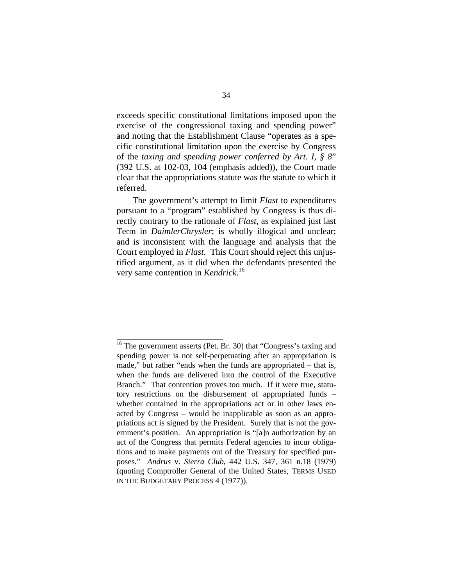exceeds specific constitutional limitations imposed upon the exercise of the congressional taxing and spending power" and noting that the Establishment Clause "operates as a specific constitutional limitation upon the exercise by Congress of the *taxing and spending power conferred by Art. I, § 8*" (392 U.S. at 102-03, 104 (emphasis added)), the Court made clear that the appropriations statute was the statute to which it referred.

The government's attempt to limit *Flast* to expenditures pursuant to a "program" established by Congress is thus directly contrary to the rationale of *Flast*, as explained just last Term in *DaimlerChrysler*; is wholly illogical and unclear; and is inconsistent with the language and analysis that the Court employed in *Flast*. This Court should reject this unjustified argument, as it did when the defendants presented the very same contention in *Kendrick*. [16](#page-44-0)

<span id="page-44-0"></span> $16$  The government asserts (Pet. Br. 30) that "Congress's taxing and spending power is not self-perpetuating after an appropriation is made," but rather "ends when the funds are appropriated – that is, when the funds are delivered into the control of the Executive Branch." That contention proves too much. If it were true, statutory restrictions on the disbursement of appropriated funds – whether contained in the appropriations act or in other laws enacted by Congress – would be inapplicable as soon as an appropriations act is signed by the President. Surely that is not the government's position. An appropriation is "[a]n authorization by an act of the Congress that permits Federal agencies to incur obligations and to make payments out of the Treasury for specified purposes." *Andrus* v. *Sierra Club*, 442 U.S. 347, 361 n.18 (1979) (quoting Comptroller General of the United States, TERMS USED IN THE BUDGETARY PROCESS 4 (1977)).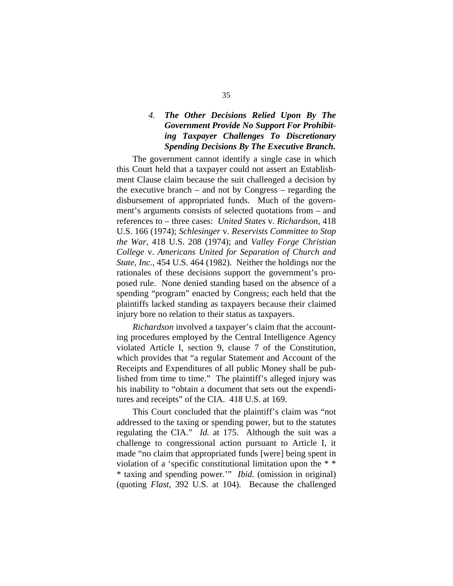## <span id="page-45-0"></span>*4. The Other Decisions Relied Upon By The Government Provide No Support For Prohibiting Taxpayer Challenges To Discretionary Spending Decisions By The Executive Branch.*

The government cannot identify a single case in which this Court held that a taxpayer could not assert an Establishment Clause claim because the suit challenged a decision by the executive branch – and not by Congress – regarding the disbursement of appropriated funds. Much of the government's arguments consists of selected quotations from – and references to – three cases: *United States* v. *Richardson*, 418 U.S. 166 (1974); *Schlesinger* v. *Reservists Committee to Stop the War*, 418 U.S. 208 (1974); and *Valley Forge Christian College* v. *Americans United for Separation of Church and State, Inc.*, 454 U.S. 464 (1982). Neither the holdings nor the rationales of these decisions support the government's proposed rule. None denied standing based on the absence of a spending "program" enacted by Congress; each held that the plaintiffs lacked standing as taxpayers because their claimed injury bore no relation to their status as taxpayers.

*Richardson* involved a taxpayer's claim that the accounting procedures employed by the Central Intelligence Agency violated Article I, section 9, clause 7 of the Constitution, which provides that "a regular Statement and Account of the Receipts and Expenditures of all public Money shall be published from time to time." The plaintiff's alleged injury was his inability to "obtain a document that sets out the expenditures and receipts" of the CIA. 418 U.S. at 169.

This Court concluded that the plaintiff's claim was "not addressed to the taxing or spending power, but to the statutes regulating the CIA." *Id.* at 175. Although the suit was a challenge to congressional action pursuant to Article I, it made "no claim that appropriated funds [were] being spent in violation of a 'specific constitutional limitation upon the \* \* \* taxing and spending power.'" *Ibid.* (omission in original) (quoting *Flast*, 392 U.S. at 104). Because the challenged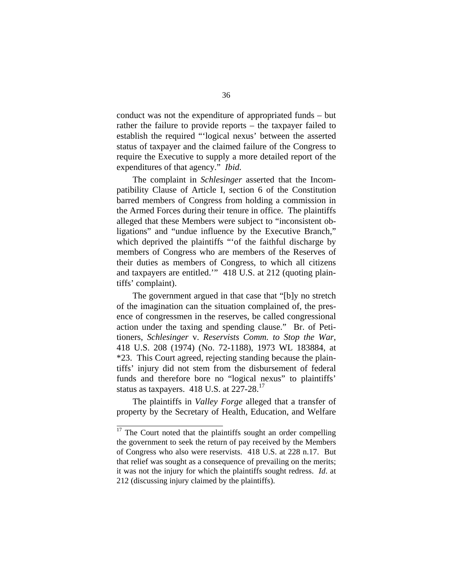conduct was not the expenditure of appropriated funds – but rather the failure to provide reports – the taxpayer failed to establish the required "'logical nexus' between the asserted status of taxpayer and the claimed failure of the Congress to require the Executive to supply a more detailed report of the expenditures of that agency." *Ibid.*

The complaint in *Schlesinger* asserted that the Incompatibility Clause of Article I, section 6 of the Constitution barred members of Congress from holding a commission in the Armed Forces during their tenure in office. The plaintiffs alleged that these Members were subject to "inconsistent obligations" and "undue influence by the Executive Branch," which deprived the plaintiffs "'of the faithful discharge by members of Congress who are members of the Reserves of their duties as members of Congress, to which all citizens and taxpayers are entitled.'" 418 U.S. at 212 (quoting plaintiffs' complaint).

The government argued in that case that "[b]y no stretch of the imagination can the situation complained of, the presence of congressmen in the reserves, be called congressional action under the taxing and spending clause." Br. of Petitioners, *Schlesinger* v. *Reservists Comm. to Stop the War*, 418 U.S. 208 (1974) (No. 72-1188), 1973 WL 183884, at \*23. This Court agreed, rejecting standing because the plaintiffs' injury did not stem from the disbursement of federal funds and therefore bore no "logical nexus" to plaintiffs' status as taxpayers. 418 U.S. at 227-28.<sup>[17](#page-46-0)</sup>

The plaintiffs in *Valley Forge* alleged that a transfer of property by the Secretary of Health, Education, and Welfare

<span id="page-46-0"></span> $17$  The Court noted that the plaintiffs sought an order compelling the government to seek the return of pay received by the Members of Congress who also were reservists. 418 U.S. at 228 n.17. But that relief was sought as a consequence of prevailing on the merits; it was not the injury for which the plaintiffs sought redress. *Id*. at 212 (discussing injury claimed by the plaintiffs).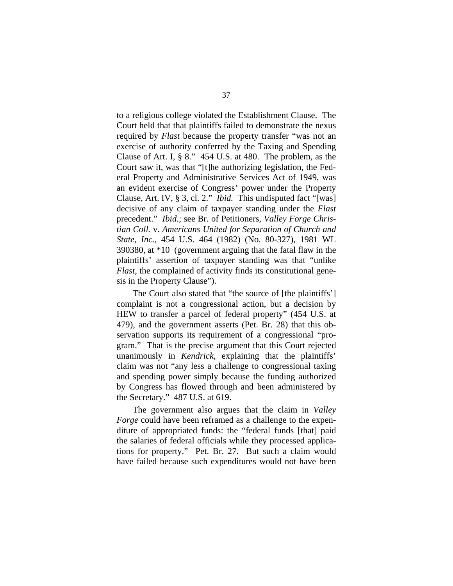to a religious college violated the Establishment Clause. The Court held that that plaintiffs failed to demonstrate the nexus required by *Flast* because the property transfer "was not an exercise of authority conferred by the Taxing and Spending Clause of Art. I, § 8." 454 U.S. at 480. The problem, as the Court saw it, was that "[t]he authorizing legislation, the Federal Property and Administrative Services Act of 1949, was an evident exercise of Congress' power under the Property Clause, Art. IV, § 3, cl. 2." *Ibid.* This undisputed fact "[was] decisive of any claim of taxpayer standing under the *Flast* precedent." *Ibid.*; see Br. of Petitioners, *Valley Forge Christian Coll.* v. *Americans United for Separation of Church and State, Inc.*, 454 U.S. 464 (1982) (No. 80-327), 1981 WL 390380, at \*10 (government arguing that the fatal flaw in the plaintiffs' assertion of taxpayer standing was that "unlike *Flast*, the complained of activity finds its constitutional genesis in the Property Clause").

The Court also stated that "the source of [the plaintiffs'] complaint is not a congressional action, but a decision by HEW to transfer a parcel of federal property" (454 U.S. at 479), and the government asserts (Pet. Br. 28) that this observation supports its requirement of a congressional "program." That is the precise argument that this Court rejected unanimously in *Kendrick*, explaining that the plaintiffs' claim was not "any less a challenge to congressional taxing and spending power simply because the funding authorized by Congress has flowed through and been administered by the Secretary." 487 U.S. at 619.

The government also argues that the claim in *Valley Forge* could have been reframed as a challenge to the expenditure of appropriated funds: the "federal funds [that] paid the salaries of federal officials while they processed applications for property." Pet. Br. 27. But such a claim would have failed because such expenditures would not have been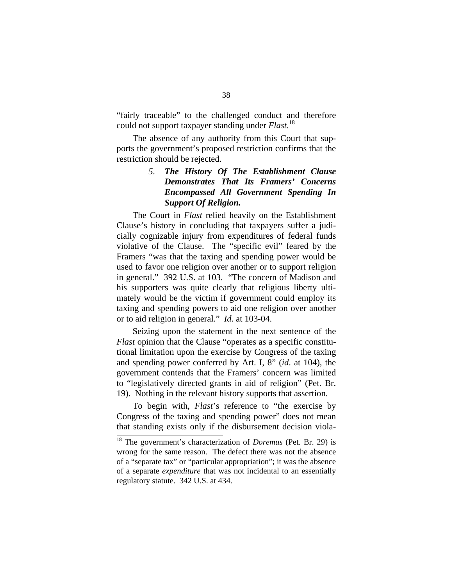<span id="page-48-0"></span>"fairly traceable" to the challenged conduct and therefore could not support taxpayer standing under *Flast*. [18](#page-48-1)

The absence of any authority from this Court that supports the government's proposed restriction confirms that the restriction should be rejected.

## *5. The History Of The Establishment Clause Demonstrates That Its Framers' Concerns Encompassed All Government Spending In Support Of Religion.*

The Court in *Flast* relied heavily on the Establishment Clause's history in concluding that taxpayers suffer a judicially cognizable injury from expenditures of federal funds violative of the Clause. The "specific evil" feared by the Framers "was that the taxing and spending power would be used to favor one religion over another or to support religion in general." 392 U.S. at 103. "The concern of Madison and his supporters was quite clearly that religious liberty ultimately would be the victim if government could employ its taxing and spending powers to aid one religion over another or to aid religion in general." *Id*. at 103-04.

Seizing upon the statement in the next sentence of the *Flast* opinion that the Clause "operates as a specific constitutional limitation upon the exercise by Congress of the taxing and spending power conferred by Art. I, 8" (*id*. at 104), the government contends that the Framers' concern was limited to "legislatively directed grants in aid of religion" (Pet. Br. 19). Nothing in the relevant history supports that assertion.

To begin with, *Flast*'s reference to "the exercise by Congress of the taxing and spending power" does not mean that standing exists only if the disbursement decision viola-

<span id="page-48-1"></span><sup>18</sup> The government's characterization of *Doremus* (Pet. Br. 29) is wrong for the same reason. The defect there was not the absence of a "separate tax" or "particular appropriation"; it was the absence of a separate *expenditure* that was not incidental to an essentially regulatory statute. 342 U.S. at 434.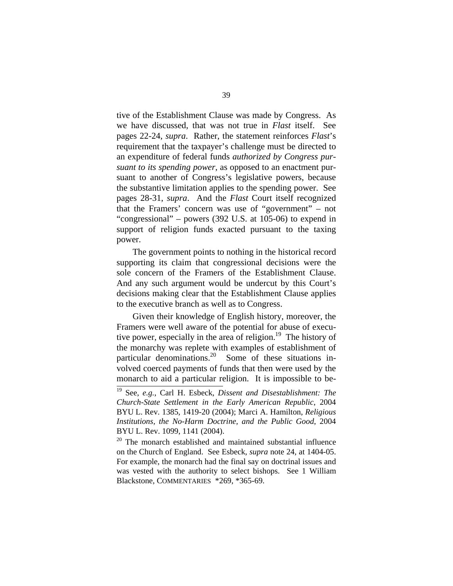tive of the Establishment Clause was made by Congress. As we have discussed, that was not true in *Flast* itself. See pages 22-24, *supra*. Rather, the statement reinforces *Flast*'s requirement that the taxpayer's challenge must be directed to an expenditure of federal funds *authorized by Congress pursuant to its spending power*, as opposed to an enactment pursuant to another of Congress's legislative powers, because the substantive limitation applies to the spending power. See pages 28-31, *supra*. And the *Flast* Court itself recognized that the Framers' concern was use of "government" – not "congressional" – powers (392 U.S. at 105-06) to expend in support of religion funds exacted pursuant to the taxing power.

The government points to nothing in the historical record supporting its claim that congressional decisions were the sole concern of the Framers of the Establishment Clause. And any such argument would be undercut by this Court's decisions making clear that the Establishment Clause applies to the executive branch as well as to Congress.

Given their knowledge of English history, moreover, the Framers were well aware of the potential for abuse of executive power, especially in the area of religion.<sup>19</sup> The history of the monarchy was replete with examples of establishment of particular denominations.<sup>20</sup> Some of these situations involved coerced payments of funds that then were used by the monarch to aid a particular religion. It is impossible to be-

<span id="page-49-0"></span><sup>19</sup> See, *e.g.*, Carl H. Esbeck, *Dissent and Disestablishment: The Church-State Settlement in the Early American Republic*, 2004 BYU L. Rev. 1385, 1419-20 (2004); Marci A. Hamilton, *Religious Institutions, the No-Harm Doctrine, and the Public Good*, 2004 BYU L. Rev. 1099, 1141 (2004).

<span id="page-49-1"></span><sup>&</sup>lt;sup>20</sup> The monarch established and maintained substantial influence on the Church of England. See Esbeck, *supra* note 24, at 1404-05. For example, the monarch had the final say on doctrinal issues and was vested with the authority to select bishops. See 1 William Blackstone, COMMENTARIES \*269, \*365-69.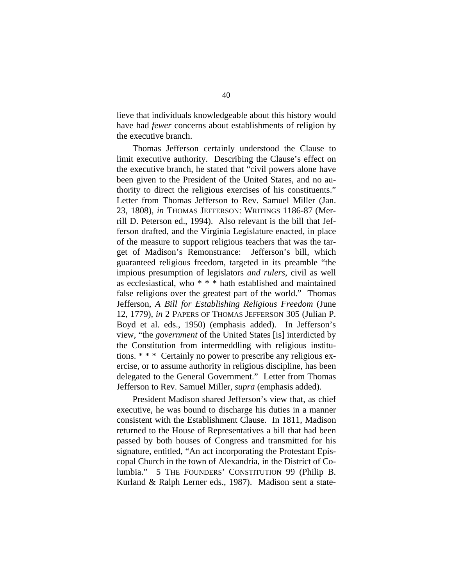lieve that individuals knowledgeable about this history would have had *fewer* concerns about establishments of religion by the executive branch.

Thomas Jefferson certainly understood the Clause to limit executive authority. Describing the Clause's effect on the executive branch, he stated that "civil powers alone have been given to the President of the United States, and no authority to direct the religious exercises of his constituents." Letter from Thomas Jefferson to Rev. Samuel Miller (Jan. 23, 1808), *in* THOMAS JEFFERSON: WRITINGS 1186-87 (Merrill D. Peterson ed., 1994). Also relevant is the bill that Jefferson drafted, and the Virginia Legislature enacted, in place of the measure to support religious teachers that was the target of Madison's Remonstrance: Jefferson's bill, which guaranteed religious freedom, targeted in its preamble "the impious presumption of legislators *and rulers*, civil as well as ecclesiastical, who \* \* \* hath established and maintained false religions over the greatest part of the world." Thomas Jefferson, *A Bill for Establishing Religious Freedom* (June 12, 1779), *in* 2 PAPERS OF THOMAS JEFFERSON 305 (Julian P. Boyd et al. eds., 1950) (emphasis added). In Jefferson's view, "the *government* of the United States [is] interdicted by the Constitution from intermeddling with religious institutions. \* \* \* Certainly no power to prescribe any religious exercise, or to assume authority in religious discipline, has been delegated to the General Government." Letter from Thomas Jefferson to Rev. Samuel Miller, *supra* (emphasis added).

President Madison shared Jefferson's view that, as chief executive, he was bound to discharge his duties in a manner consistent with the Establishment Clause. In 1811, Madison returned to the House of Representatives a bill that had been passed by both houses of Congress and transmitted for his signature, entitled, "An act incorporating the Protestant Episcopal Church in the town of Alexandria, in the District of Columbia." 5 THE FOUNDERS' CONSTITUTION 99 (Philip B. Kurland & Ralph Lerner eds., 1987). Madison sent a state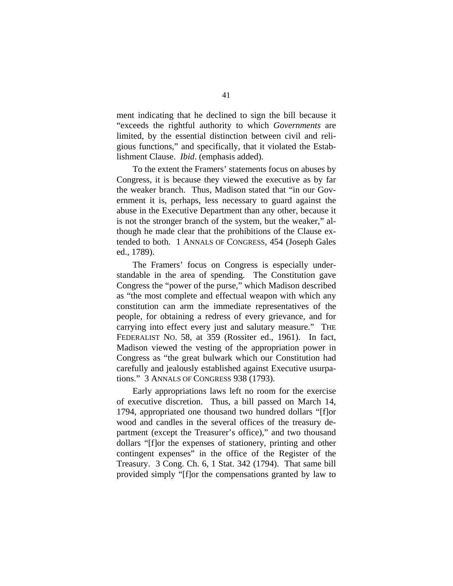ment indicating that he declined to sign the bill because it "exceeds the rightful authority to which *Governments* are limited, by the essential distinction between civil and religious functions," and specifically, that it violated the Establishment Clause. *Ibid*. (emphasis added).

To the extent the Framers' statements focus on abuses by Congress, it is because they viewed the executive as by far the weaker branch. Thus, Madison stated that "in our Government it is, perhaps, less necessary to guard against the abuse in the Executive Department than any other, because it is not the stronger branch of the system, but the weaker," although he made clear that the prohibitions of the Clause extended to both. 1 ANNALS OF CONGRESS, 454 (Joseph Gales ed., 1789).

The Framers' focus on Congress is especially understandable in the area of spending. The Constitution gave Congress the "power of the purse," which Madison described as "the most complete and effectual weapon with which any constitution can arm the immediate representatives of the people, for obtaining a redress of every grievance, and for carrying into effect every just and salutary measure." THE FEDERALIST NO. 58, at 359 (Rossiter ed., 1961). In fact, Madison viewed the vesting of the appropriation power in Congress as "the great bulwark which our Constitution had carefully and jealously established against Executive usurpations." 3 ANNALS OF CONGRESS 938 (1793).

Early appropriations laws left no room for the exercise of executive discretion. Thus, a bill passed on March 14, 1794, appropriated one thousand two hundred dollars "[f]or wood and candles in the several offices of the treasury department (except the Treasurer's office)," and two thousand dollars "[f]or the expenses of stationery, printing and other contingent expenses" in the office of the Register of the Treasury. 3 Cong. Ch. 6, 1 Stat. 342 (1794). That same bill provided simply "[f]or the compensations granted by law to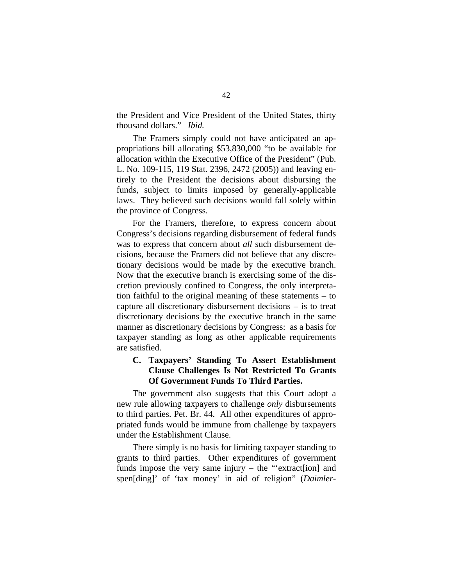<span id="page-52-0"></span>the President and Vice President of the United States, thirty thousand dollars." *Ibid.*

The Framers simply could not have anticipated an appropriations bill allocating \$53,830,000 "to be available for allocation within the Executive Office of the President" (Pub. L. No. 109-115, 119 Stat. 2396, 2472 (2005)) and leaving entirely to the President the decisions about disbursing the funds, subject to limits imposed by generally-applicable laws. They believed such decisions would fall solely within the province of Congress.

For the Framers, therefore, to express concern about Congress's decisions regarding disbursement of federal funds was to express that concern about *all* such disbursement decisions, because the Framers did not believe that any discretionary decisions would be made by the executive branch. Now that the executive branch is exercising some of the discretion previously confined to Congress, the only interpretation faithful to the original meaning of these statements – to capture all discretionary disbursement decisions – is to treat discretionary decisions by the executive branch in the same manner as discretionary decisions by Congress: as a basis for taxpayer standing as long as other applicable requirements are satisfied.

## **C. Taxpayers' Standing To Assert Establishment Clause Challenges Is Not Restricted To Grants Of Government Funds To Third Parties.**

The government also suggests that this Court adopt a new rule allowing taxpayers to challenge *only* disbursements to third parties. Pet. Br. 44. All other expenditures of appropriated funds would be immune from challenge by taxpayers under the Establishment Clause.

There simply is no basis for limiting taxpayer standing to grants to third parties. Other expenditures of government funds impose the very same injury – the "'extract[ion] and spen[ding]' of 'tax money' in aid of religion" (*Daimler-*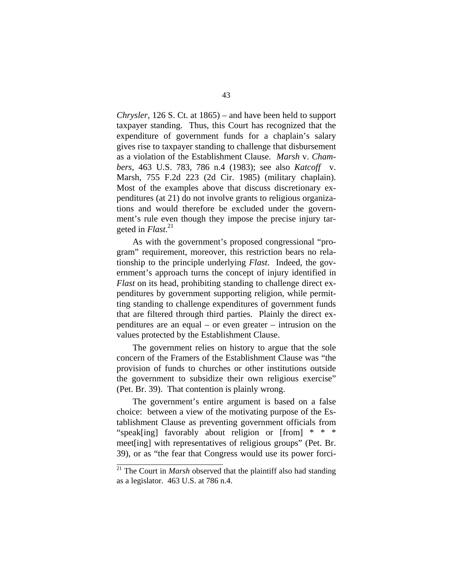*Chrysler*, 126 S. Ct. at 1865) – and have been held to support taxpayer standing. Thus, this Court has recognized that the expenditure of government funds for a chaplain's salary gives rise to taxpayer standing to challenge that disbursement as a violation of the Establishment Clause. *Marsh* v. *Chambers*, 463 U.S. 783, 786 n.4 (1983); see also *Katcoff* v. Marsh, 755 F.2d 223 (2d Cir. 1985) (military chaplain). Most of the examples above that discuss discretionary expenditures (at 21) do not involve grants to religious organizations and would therefore be excluded under the government's rule even though they impose the precise injury targeted in *Flast*. [21](#page-53-0)

As with the government's proposed congressional "program" requirement, moreover, this restriction bears no relationship to the principle underlying *Flast*. Indeed, the government's approach turns the concept of injury identified in *Flast* on its head, prohibiting standing to challenge direct expenditures by government supporting religion, while permitting standing to challenge expenditures of government funds that are filtered through third parties. Plainly the direct expenditures are an equal – or even greater – intrusion on the values protected by the Establishment Clause.

The government relies on history to argue that the sole concern of the Framers of the Establishment Clause was "the provision of funds to churches or other institutions outside the government to subsidize their own religious exercise" (Pet. Br. 39). That contention is plainly wrong.

The government's entire argument is based on a false choice: between a view of the motivating purpose of the Establishment Clause as preventing government officials from "speak[ing] favorably about religion or [from] \* \* \* meet[ing] with representatives of religious groups" (Pet. Br. 39), or as "the fear that Congress would use its power forci-

<span id="page-53-0"></span><sup>&</sup>lt;sup>21</sup> The Court in *Marsh* observed that the plaintiff also had standing as a legislator. 463 U.S. at 786 n.4.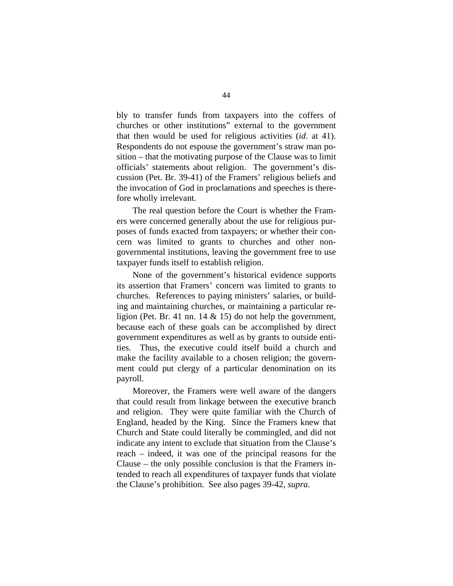bly to transfer funds from taxpayers into the coffers of churches or other institutions" external to the government that then would be used for religious activities (*id*. at 41). Respondents do not espouse the government's straw man position – that the motivating purpose of the Clause was to limit officials' statements about religion. The government's discussion (Pet. Br. 39-41) of the Framers' religious beliefs and the invocation of God in proclamations and speeches is therefore wholly irrelevant.

The real question before the Court is whether the Framers were concerned generally about the use for religious purposes of funds exacted from taxpayers; or whether their concern was limited to grants to churches and other nongovernmental institutions, leaving the government free to use taxpayer funds itself to establish religion.

None of the government's historical evidence supports its assertion that Framers' concern was limited to grants to churches. References to paying ministers' salaries, or building and maintaining churches, or maintaining a particular religion (Pet. Br. 41 nn. 14  $\&$  15) do not help the government, because each of these goals can be accomplished by direct government expenditures as well as by grants to outside entities. Thus, the executive could itself build a church and make the facility available to a chosen religion; the government could put clergy of a particular denomination on its payroll.

Moreover, the Framers were well aware of the dangers that could result from linkage between the executive branch and religion. They were quite familiar with the Church of England, headed by the King. Since the Framers knew that Church and State could literally be commingled, and did not indicate any intent to exclude that situation from the Clause's reach – indeed, it was one of the principal reasons for the Clause – the only possible conclusion is that the Framers intended to reach all expenditures of taxpayer funds that violate the Clause's prohibition. See also pages 39-42, *supra*.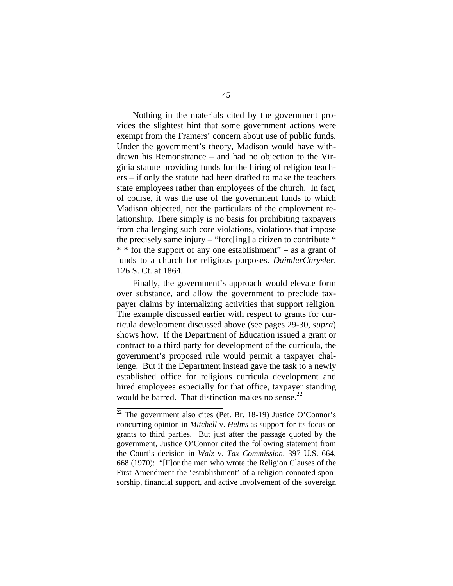Nothing in the materials cited by the government provides the slightest hint that some government actions were exempt from the Framers' concern about use of public funds. Under the government's theory, Madison would have withdrawn his Remonstrance – and had no objection to the Virginia statute providing funds for the hiring of religion teachers – if only the statute had been drafted to make the teachers state employees rather than employees of the church. In fact, of course, it was the use of the government funds to which Madison objected, not the particulars of the employment relationship. There simply is no basis for prohibiting taxpayers from challenging such core violations, violations that impose the precisely same injury – "forc[ing] a citizen to contribute  $*$ \* \* for the support of any one establishment" – as a grant of funds to a church for religious purposes. *DaimlerChrysler,* 126 S. Ct. at 1864.

Finally, the government's approach would elevate form over substance, and allow the government to preclude taxpayer claims by internalizing activities that support religion. The example discussed earlier with respect to grants for curricula development discussed above (see pages 29-30, *supra*) shows how. If the Department of Education issued a grant or contract to a third party for development of the curricula, the government's proposed rule would permit a taxpayer challenge. But if the Department instead gave the task to a newly established office for religious curricula development and hired employees especially for that office, taxpayer standing would be barred. That distinction makes no sense. $2^2$ 

<span id="page-55-0"></span> $\frac{22}{2}$  The government also cites (Pet. Br. 18-19) Justice O'Connor's concurring opinion in *Mitchell* v. *Helms* as support for its focus on grants to third parties. But just after the passage quoted by the government, Justice O'Connor cited the following statement from the Court's decision in *Walz* v. *Tax Commission*, 397 U.S. 664, 668 (1970): "[F]or the men who wrote the Religion Clauses of the First Amendment the 'establishment' of a religion connoted sponsorship, financial support, and active involvement of the sovereign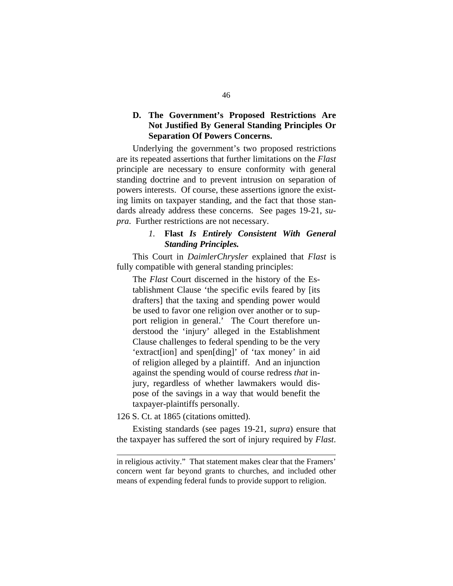## <span id="page-56-0"></span>**D. The Government's Proposed Restrictions Are Not Justified By General Standing Principles Or Separation Of Powers Concerns.**

Underlying the government's two proposed restrictions are its repeated assertions that further limitations on the *Flast* principle are necessary to ensure conformity with general standing doctrine and to prevent intrusion on separation of powers interests. Of course, these assertions ignore the existing limits on taxpayer standing, and the fact that those standards already address these concerns. See pages 19-21, *supra*. Further restrictions are not necessary.

### *1.* **Flast** *Is Entirely Consistent With General Standing Principles.*

This Court in *DaimlerChrysler* explained that *Flast* is fully compatible with general standing principles:

The *Flast* Court discerned in the history of the Establishment Clause 'the specific evils feared by [its drafters] that the taxing and spending power would be used to favor one religion over another or to support religion in general.' The Court therefore understood the 'injury' alleged in the Establishment Clause challenges to federal spending to be the very 'extract[ion] and spen[ding]' of 'tax money' in aid of religion alleged by a plaintiff. And an injunction against the spending would of course redress *that* injury, regardless of whether lawmakers would dispose of the savings in a way that would benefit the taxpayer-plaintiffs personally.

126 S. Ct. at 1865 (citations omitted).

í

Existing standards (see pages 19-21, *supra*) ensure that the taxpayer has suffered the sort of injury required by *Flast*.

in religious activity." That statement makes clear that the Framers' concern went far beyond grants to churches, and included other means of expending federal funds to provide support to religion.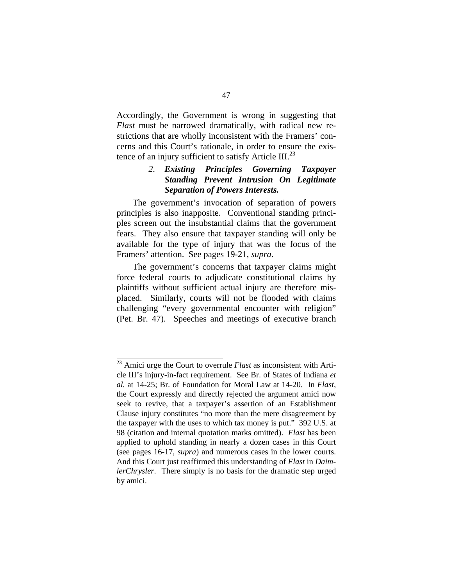<span id="page-57-0"></span>Accordingly, the Government is wrong in suggesting that *Flast* must be narrowed dramatically, with radical new restrictions that are wholly inconsistent with the Framers' concerns and this Court's rationale, in order to ensure the existence of an injury sufficient to satisfy Article III.<sup>23</sup>

## *2. Existing Principles Governing Taxpayer Standing Prevent Intrusion On Legitimate Separation of Powers Interests.*

The government's invocation of separation of powers principles is also inapposite. Conventional standing principles screen out the insubstantial claims that the government fears. They also ensure that taxpayer standing will only be available for the type of injury that was the focus of the Framers' attention. See pages 19-21, *supra*.

The government's concerns that taxpayer claims might force federal courts to adjudicate constitutional claims by plaintiffs without sufficient actual injury are therefore misplaced. Similarly, courts will not be flooded with claims challenging "every governmental encounter with religion" (Pet. Br. 47). Speeches and meetings of executive branch

<span id="page-57-1"></span> $23\,$ 23 Amici urge the Court to overrule *Flast* as inconsistent with Article III's injury-in-fact requirement. See Br. of States of Indiana *et al.* at 14-25; Br. of Foundation for Moral Law at 14-20. In *Flast*, the Court expressly and directly rejected the argument amici now seek to revive, that a taxpayer's assertion of an Establishment Clause injury constitutes "no more than the mere disagreement by the taxpayer with the uses to which tax money is put." 392 U.S. at 98 (citation and internal quotation marks omitted). *Flast* has been applied to uphold standing in nearly a dozen cases in this Court (see pages 16-17, *supra*) and numerous cases in the lower courts. And this Court just reaffirmed this understanding of *Flast* in *DaimlerChrysler*. There simply is no basis for the dramatic step urged by amici.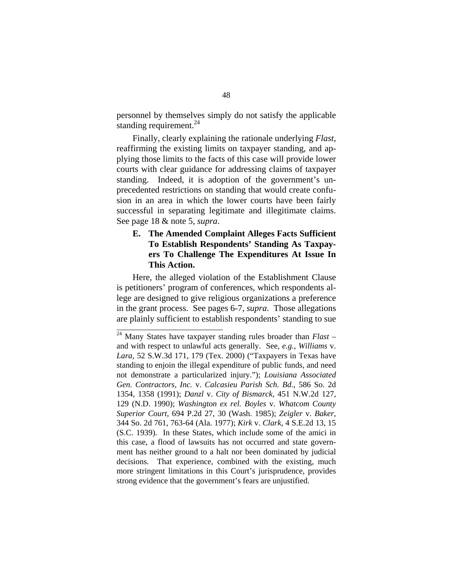<span id="page-58-0"></span>personnel by themselves simply do not satisfy the applicable standing requirement. $^{24}$  $^{24}$  $^{24}$ 

Finally, clearly explaining the rationale underlying *Flast*, reaffirming the existing limits on taxpayer standing, and applying those limits to the facts of this case will provide lower courts with clear guidance for addressing claims of taxpayer standing. Indeed, it is adoption of the government's unprecedented restrictions on standing that would create confusion in an area in which the lower courts have been fairly successful in separating legitimate and illegitimate claims. See page 18 & note 5, *supra*.

## **E. The Amended Complaint Alleges Facts Sufficient To Establish Respondents' Standing As Taxpayers To Challenge The Expenditures At Issue In This Action.**

Here, the alleged violation of the Establishment Clause is petitioners' program of conferences, which respondents allege are designed to give religious organizations a preference in the grant process. See pages 6-7, *supra*. Those allegations are plainly sufficient to establish respondents' standing to sue

<span id="page-58-1"></span> 24 Many States have taxpayer standing rules broader than *Flast* – and with respect to unlawful acts generally. See, *e.g.*, *Williams* v. *Lara*, 52 S.W.3d 171, 179 (Tex. 2000) ("Taxpayers in Texas have standing to enjoin the illegal expenditure of public funds, and need not demonstrate a particularized injury."); *Louisiana Associated Gen. Contractors, Inc.* v. *Calcasieu Parish Sch. Bd.*, 586 So. 2d 1354, 1358 (1991); *Danzl* v. *City of Bismarck*, 451 N.W.2d 127, 129 (N.D. 1990); *Washington ex rel. Boyles* v. *Whatcom County Superior Court*, 694 P.2d 27, 30 (Wash. 1985); *Zeigler* v. *Baker*, 344 So. 2d 761, 763-64 (Ala. 1977); *Kirk* v. *Clark*, 4 S.E.2d 13, 15 (S.C. 1939). In these States, which include some of the amici in this case, a flood of lawsuits has not occurred and state government has neither ground to a halt nor been dominated by judicial decisions. That experience, combined with the existing, much more stringent limitations in this Court's jurisprudence, provides strong evidence that the government's fears are unjustified.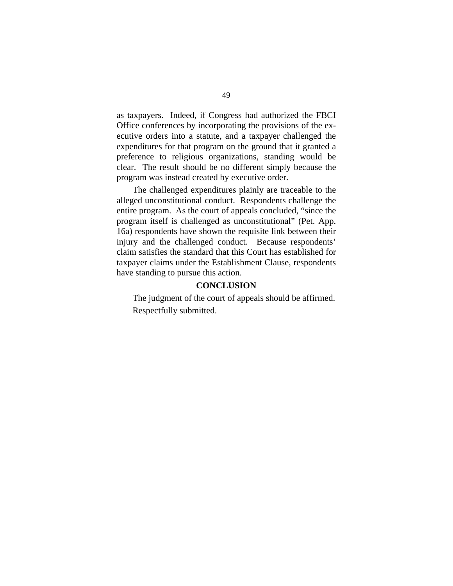<span id="page-59-0"></span>as taxpayers. Indeed, if Congress had authorized the FBCI Office conferences by incorporating the provisions of the executive orders into a statute, and a taxpayer challenged the expenditures for that program on the ground that it granted a preference to religious organizations, standing would be clear. The result should be no different simply because the program was instead created by executive order.

The challenged expenditures plainly are traceable to the alleged unconstitutional conduct. Respondents challenge the entire program. As the court of appeals concluded, "since the program itself is challenged as unconstitutional" (Pet. App. 16a) respondents have shown the requisite link between their injury and the challenged conduct. Because respondents' claim satisfies the standard that this Court has established for taxpayer claims under the Establishment Clause, respondents have standing to pursue this action.

#### **CONCLUSION**

The judgment of the court of appeals should be affirmed. Respectfully submitted.